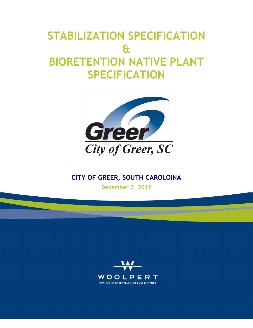# **STABILIZATION SPECIFICATION & BIORETENTION NATIVE PLANT SPECIFICATION**



# **CITY OF GREER, SOUTH CAROLOINA**

**December 3, 2012**

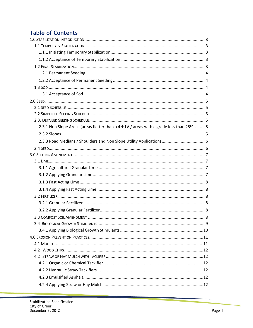# **Table of Contents**

| 2.3.1 Non Slope Areas (areas flatter than a 4H:1V / areas with a grade less than 25%) 5 |  |
|-----------------------------------------------------------------------------------------|--|
|                                                                                         |  |
| 2.3.3 Road Medians / Shoulders and Non Slope Utility Applications 6                     |  |
|                                                                                         |  |
|                                                                                         |  |
|                                                                                         |  |
|                                                                                         |  |
|                                                                                         |  |
|                                                                                         |  |
|                                                                                         |  |
|                                                                                         |  |
|                                                                                         |  |
|                                                                                         |  |
|                                                                                         |  |
|                                                                                         |  |
|                                                                                         |  |
|                                                                                         |  |
|                                                                                         |  |
|                                                                                         |  |
|                                                                                         |  |
|                                                                                         |  |
|                                                                                         |  |
|                                                                                         |  |
|                                                                                         |  |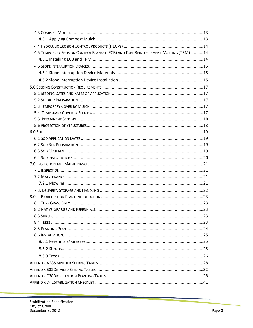| 4.5 TEMPORARY EROSION CONTROL BLANKET (ECB) AND TURF REINFORCEMENT MATTING (TRM)14 |  |
|------------------------------------------------------------------------------------|--|
|                                                                                    |  |
|                                                                                    |  |
|                                                                                    |  |
|                                                                                    |  |
|                                                                                    |  |
|                                                                                    |  |
|                                                                                    |  |
|                                                                                    |  |
|                                                                                    |  |
|                                                                                    |  |
|                                                                                    |  |
|                                                                                    |  |
|                                                                                    |  |
|                                                                                    |  |
|                                                                                    |  |
|                                                                                    |  |
|                                                                                    |  |
|                                                                                    |  |
|                                                                                    |  |
|                                                                                    |  |
|                                                                                    |  |
| 8.0                                                                                |  |
|                                                                                    |  |
|                                                                                    |  |
|                                                                                    |  |
|                                                                                    |  |
|                                                                                    |  |
|                                                                                    |  |
|                                                                                    |  |
|                                                                                    |  |
|                                                                                    |  |
|                                                                                    |  |
|                                                                                    |  |
|                                                                                    |  |
|                                                                                    |  |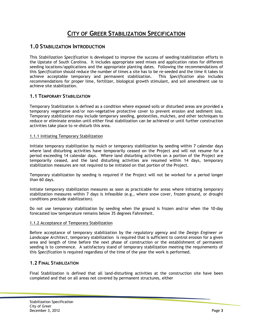# **CITY OF GREER STABILIZATION SPECIFICATION**

## **1.0 STABILIZATION INTRODUCTION**

This *Stabilization Specification* is developed to improve the success of seeding/stabilization efforts in the Upstate of South Carolina. It includes appropriate seed mixes and application rates for different seeding locations/applications and the appropriate planting dates. Following the recommendations of this *Specification* should reduce the number of times a site has to be re-seeded and the time it takes to achieve acceptable temporary and permanent stabilization. This *Specification* also includes recommendations for proper lime, fertilizer, biological growth stimulant, and soil amendment use to achieve site stabilization.

#### **1.1 TEMPORARY STABILIZATION**

Temporary Stabilization is defined as a condition where exposed soils or disturbed areas are provided a temporary vegetative and/or non-vegetative protective cover to prevent erosion and sediment loss. Temporary stabilization may include temporary seeding, geotextiles, mulches, and other techniques to reduce or eliminate erosion until either final stabilization can be achieved or until further construction activities take place to re-disturb this area.

#### 1.1.1 Initiating Temporary Stabilization

Initiate temporary stabilization by mulch or temporary stabilization by seeding within 7 calendar days where land disturbing activities have temporarily ceased on the Project and will not resume for a period exceeding 14 calendar days. Where land disturbing activities on a portion of the Project are temporarily ceased, and the land disturbing activities are resumed within 14 days, temporary stabilization measures are not required to be initiated on that portion of the Project.

Temporary stabilization by seeding is required if the Project will not be worked for a period longer than 60 days.

Initiate temporary stabilization measures as soon as practicable for areas where initiating temporary stabilization measures within 7 days is infeasible (e.g., where snow cover, frozen ground, or drought conditions preclude stabilization).

Do not use temporary stabilization by seeding when the ground is frozen and/or when the 10-day forecasted low temperature remains below 35 degrees Fahrenheit.

#### 1.1.2 Acceptance of Temporary Stabilization

Before acceptance of temporary stabilization by the *regulatory agency* and the *Design Engineer or Landscape Architect*, temporary stabilization is required that is sufficient to control erosion for a given area and length of time before the next phase of construction or the establishment of permanent seeding is to commence. A satisfactory stand of temporary stabilization meeting the requirements of this *Specification* is required regardless of the time of the year the work is performed.

#### **1.2 FINAL STABILIZATION**

Final Stabilization is defined that all land-disturbing activities at the construction site have been completed and that on all areas not covered by permanent structures, either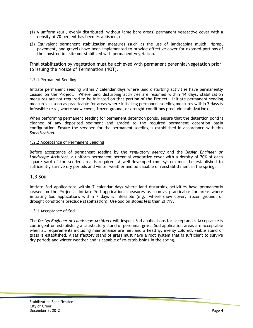- (1) A uniform (e.g., evenly distributed, without large bare areas) permanent vegetative cover with a density of 70 percent has been established, or
- (2) Equivalent permanent stabilization measures (such as the use of landscaping mulch, riprap, pavement, and gravel) have been implemented to provide effective cover for exposed portions of the construction site not stabilized with permanent vegetation.

Final stabilization by vegetation must be achieved with permanent perennial vegetation prior to issuing the Notice of Termination (NOT).

#### 1.2.1 Permanent Seeding

Initiate permanent seeding within 7 calendar days where land disturbing activities have permanently ceased on the Project. Where land disturbing activities are resumed within 14 days, stabilization measures are not required to be initiated on that portion of the Project. Initiate permanent seeding measures as soon as practicable for areas where initiating permanent seeding measures within 7 days is infeasible (e.g., where snow cover, frozen ground, or drought conditions preclude stabilization).

When performing permanent seeding for permanent detention ponds, ensure that the detention pond is cleaned of any deposited sediment and graded to the required permanent detention basin configuration. Ensure the seedbed for the permanent seeding is established in accordance with this *Specification.* 

#### 1.2.2 Acceptance of Permanent Seeding

Before acceptance of permanent seeding by the *regulatory agency* and the *Design Engineer or Landscape Architect*, a uniform permanent perennial vegetative cover with a density of 70% of each square yard of the seeded area is required. A well-developed root system must be established to sufficiently survive dry periods and winter weather and be capable of reestablishment in the spring.

#### **1.3 SOD**

Initiate Sod applications within 7 calendar days where land disturbing activities have permanently ceased on the Project. Initiate Sod applications measures as soon as practicable for areas where initiating Sod applications within 7 days is infeasible (e.g., where snow cover, frozen ground, or drought conditions preclude stabilization). Use Sod on slopes less than 2H:1V.

#### 1.3.1 Acceptance of Sod

The *Design Engineer or Landscape Architect* will inspect Sod applications for acceptance. Acceptance is contingent on establishing a satisfactory stand of perennial grass. Sod application areas are acceptable when all requirements including maintenance are met and a healthy, evenly colored, viable stand of grass is established. A satisfactory stand of grass must have a root system that is sufficient to survive dry periods and winter weather and is capable of re-establishing in the spring.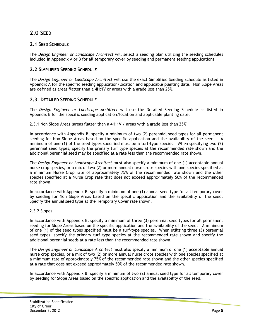# **2.0 SEED**

#### **2.1 SEED SCHEDULE**

The *Design Engineer or Landscape Architect* will select a seeding plan utilizing the seeding schedules included in Appendix A or B for all temporary cover by seeding and permanent seeding applications.

#### **2.2 SIMPLIFIED SEEDING SCHEDULE**

The *Design Engineer or Landscape Architect* will use the exact Simplified Seeding Schedule as listed in Appendix A for the specific seeding application/location and applicable planting date. Non Slope Areas are defined as areas flatter than a 4H:1V or areas with a grade less than 25%.

#### **2.3. DETAILED SEEDING SCHEDULE**

The *Design Engineer or Landscape Architect* will use the Detailed Seeding Schedule as listed in Appendix B for the specific seeding application/location and applicable planting date.

#### 2.3.1 Non Slope Areas (areas flatter than a 4H:1V / areas with a grade less than 25%)

In accordance with Appendix B, specify a minimum of two (2) perennial seed types for all permanent seeding for Non Slope Areas based on the specific application and the availability of the seed. minimum of one (1) of the seed types specified must be a turf-type species. When specifying two (2) perennial seed types, specify the primary turf type species at the recommended rate shown and the additional perennial seed may be specified at a rate less than the recommended rate shown.

The *Design Engineer or Landscape Architect* must also specify a minimum of one (1) acceptable annual nurse crop species, or a mix of two (2) or more annual nurse crops species with one species specified at a minimum Nurse Crop rate of approximately 75% of the recommended rate shown and the other species specified at a Nurse Crop rate that does not exceed approximately 50% of the recommended rate shown.

In accordance with Appendix B, specify a minimum of one (1) annual seed type for all temporary cover by seeding for Non Slope Areas based on the specific application and the availability of the seed. Specify the annual seed type at the Temporary Cover rate shown.

#### 2.3.2 Slopes

In accordance with Appendix B, specify a minimum of three (3) perennial seed types for all permanent seeding for Slope Areas based on the specific application and the availability of the seed. A minimum of one (1) of the seed types specified must be a turf-type species. When utilizing three (3) perennial seed types, specify the primary turf type species at the recommended rate shown and specify the additional perennial seeds at a rate less than the recommended rate shown.

The *Design Engineer or Landscape Architect* must also specify a minimum of one (1) acceptable annual nurse crop species, or a mix of two (2) or more annual nurse crops species with one species specified at a minimum rate of approximately 75% of the recommended rate shown and the other species specified at a rate that does not exceed approximately 50% of the recommended rate shown.

In accordance with Appendix B, specify a minimum of two (2) annual seed type for all temporary cover by seeding for Slope Areas based on the specific application and the availability of the seed.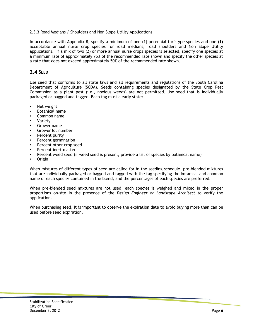#### 2.3.3 Road Medians / Shoulders and Non Slope Utility Applications

In accordance with Appendix B, specify a minimum of one (1) perennial turf-type species and one (1) acceptable annual nurse crop species for road medians, road shoulders and Non Slope Utility applications. If a mix of two (2) or more annual nurse crops species is selected, specify one species at a minimum rate of approximately 75% of the recommended rate shown and specify the other species at a rate that does not exceed approximately 50% of the recommended rate shown.

#### **2.4 SEED**

Use seed that conforms to all state laws and all requirements and regulations of the South Carolina Department of Agriculture (SCDA). Seeds containing species designated by the State Crop Pest Commission as a plant pest (i.e., noxious weeds) are not permitted. Use seed that is individually packaged or bagged and tagged. Each tag must clearly state:

- Net weight
- Botanical name
- Common name
- Variety
- Grower name
- Grower lot number
- Percent purity
- Percent germination
- Percent other crop seed
- Percent inert matter
- Percent weed seed (if weed seed is present, provide a list of species by botanical name)
- Origin

When mixtures of different types of seed are called for in the seeding schedule, pre-blended mixtures that are individually packaged or bagged and tagged with the tag specifying the botanical and common name of each species contained in the blend, and the percentages of each species are preferred.

When pre-blended seed mixtures are not used, each species is weighed and mixed in the proper proportions on-site in the presence of the *Design Engineer or Landscape Architect* to verify the application.

When purchasing seed, it is important to observe the expiration date to avoid buying more than can be used before seed expiration.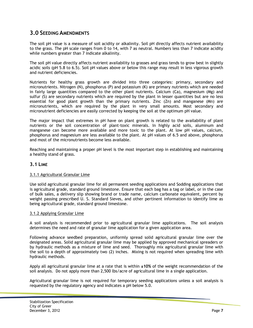## **3.0 SEEDING AMENDMENTS**

The soil pH value is a measure of soil acidity or alkalinity. Soil pH directly affects nutrient availability to the grass. The pH scale ranges from 0 to 14, with 7 as neutral. Numbers less than 7 indicate acidity while numbers greater than 7 indicate alkalinity.

The soil pH value directly affects nutrient availability to grasses and grass tends to grow best in slightly acidic soils (pH 5.8 to 6.5). Soil pH values above or below this range may result in less vigorous growth and nutrient deficiencies.

Nutrients for healthy grass growth are divided into three categories: primary, secondary and micronutrients. Nitrogen (N), phosphorus (P) and potassium (K) are primary nutrients which are needed in fairly large quantities compared to the other plant nutrients. Calcium (Ca), magnesium (Mg) and sulfur (S) are secondary nutrients which are required by the plant in lesser quantities but are no less essential for good plant growth than the primary nutrients. Zinc (Zn) and manganese (Mn) are micronutrients, which are required by the plant in very small amounts. Most secondary and micronutrient deficiencies are easily corrected by keeping the soil at the optimum pH value.

The major impact that extremes in pH have on plant growth is related to the availability of plant nutrients or the soil concentration of plant-toxic minerals. In highly acid soils, aluminum and manganese can become more available and more toxic to the plant. At low pH values, calcium, phosphorus and magnesium are less available to the plant. At pH values of 6.5 and above, phosphorus and most of the micronutrients become less available.

Reaching and maintaining a proper pH level is the most important step in establishing and maintaining a healthy stand of grass.

#### **3.1 LIME**

#### 3.1.1 Agricultural Granular Lime

Use solid agricultural granular lime for all permanent seeding applications and Sodding applications that is agricultural grade, standard ground limestone. Ensure that each bag has a tag or label, or in the case of bulk sales, a delivery slip showing brand or trade name, calcium carbonate equivalent, percent by weight passing prescribed U. S. Standard Sieves, and other pertinent information to identify lime as being agricultural grade, standard ground limestone.

#### 3.1.2 Applying Granular Lime

A soil analysis is recommended prior to agricultural granular lime applications. The soil analysis determines the need and rate of granular lime application for a given application area.

Following advance seedbed preparation, uniformly spread solid agricultural granular lime over the designated areas. Solid agricultural granular lime may be applied by approved mechanical spreaders or by hydraulic methods as a mixture of lime and seed. Thoroughly mix agricultural granular lime with the soil to a depth of approximately two (2) inches. Mixing is not required when spreading lime with hydraulic methods.

Apply all agricultural granular lime at a rate that is within **±10%** of the weight recommendation of the soil analysis. Do not apply more than 2,500 lbs/acre of agricultural lime in a single application.

Agricultural granular lime is not required for temporary seeding applications unless a soil analysis is requested by the regulatory agency and indicates a pH below 5.0.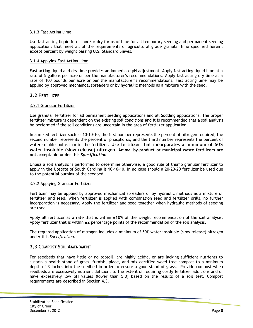#### 3.1.3 Fast Acting Lime

Use fast acting liquid forms and/or dry forms of lime for all temporary seeding and permanent seeding applications that meet all of the requirements of agricultural grade granular lime specified herein, except percent by weight passing U.S. Standard Sieves.

#### 3.1.4 Applying Fast Acting Lime

Fast acting liquid and dry lime provides an immediate pH adjustment. Apply fast acting liquid lime at a rate of 5 gallons per acre or per the manufacturer's recommendations. Apply fast acting dry lime at a rate of 100 pounds per acre or per the manufacturer's recommendations. Fast acting lime may be applied by approved mechanical spreaders or by hydraulic methods as a mixture with the seed.

#### **3.2 FERTILIZER**

#### 3.2.1 Granular Fertilizer

Use granular fertilizer for all permanent seeding applications and all Sodding applications. The proper fertilizer mixture is dependent on the existing soil conditions and it is recommended that a soil analysis be performed if the soil conditions are uncertain in the area of fertilizer application.

In a mixed fertilizer such as 10-10-10, the first number represents the percent of nitrogen required, the second number represents the percent of phosphorus, and the third number represents the percent of water soluble potassium in the fertilizer. **Use fertilizer that incorporates a minimum of 50% water insoluble (slow release) nitrogen. Animal by-product or municipal waste fertilizers are not acceptable under this** *Specification***.** 

Unless a soil analysis is performed to determine otherwise, a good rule of thumb granular fertilizer to apply in the Upstate of South Carolina is 10-10-10. In no case should a 20-20-20 fertilizer be used due to the potential burning of the seedbed.

#### 3.2.2 Applying Granular Fertilizer

Fertilizer may be applied by approved mechanical spreaders or by hydraulic methods as a mixture of fertilizer and seed. When fertilizer is applied with combination seed and fertilizer drills, no further incorporation is necessary. Apply the fertilizer and seed together when hydraulic methods of seeding are used.

Apply all fertilizer at a rate that is within **±10%** of the weight recommendation of the soil analysis. Apply fertilizer that is within **±2** percentage points of the recommendation of the soil analysis.

The required application of nitrogen includes a minimum of 50% water insoluble (slow release) nitrogen under this *Specification*.

#### **3.3 COMPOST SOIL AMENDMENT**

For seedbeds that have little or no topsoil, are highly acidic, or are lacking sufficient nutrients to sustain a health stand of grass, furnish, place, and mix certified weed free compost to a minimum depth of 3 inches into the seedbed in order to ensure a good stand of grass. Provide compost when seedbeds are excessively nutrient deficient to the extent of requiring costly fertilizer additions and or have excessively low pH values (lower than 5.0) based on the results of a soil test. Compost requirements are described in Section 4.3.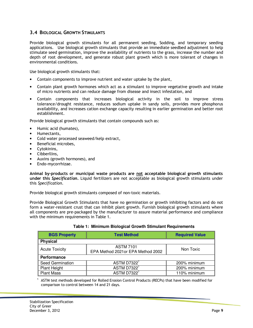#### **3.4 BIOLOGICAL GROWTH STIMULANTS**

Provide biological growth stimulants for all permanent seeding, Sodding, and temporary seeding applications. Use biological growth stimulants that provide an immediate seedbed adjustment to help stimulate seed germination, improve the availability of nutrients to the grass, increase the number and depth of root development, and generate robust plant growth which is more tolerant of changes in environmental conditions.

Use biological growth stimulants that:

- Contain components to improve nutrient and water uptake by the plant,
- Contain plant growth hormones which act as a stimulant to improve vegetative growth and intake of micro nutrients and can reduce damage from disease and insect infestation, and
- Contain components that increases biological activity in the soil to improve stress tolerance/drought resistance, reduces sodium uptake in sandy soils, provides more phosphorus availability, and increases cation exchange capacity resulting in earlier germination and better root establishment.

Provide biological growth stimulants that contain compounds such as:

- Humic acid (humates),
- Humectants,
- Cold water processed seaweed/kelp extract,
- Beneficial microbes,
- Cytokinins,
- Cibberllins,
- Auxins (growth hormones), and
- Endo-mycorrhizae.

**Animal by-products or municipal waste products are not acceptable biological growth stimulants under this** *Specification***.** Liquid fertilizers are not acceptable as biological growth stimulants under this *Specification*.

Provide biological growth stimulants composed of non-toxic materials.

Provide Biological Growth Stimulants that have no germination or growth inhibiting factors and do not form a water-resistant crust that can inhibit plant growth. Furnish biological growth stimulants where all components are pre-packaged by the manufacturer to assure material performance and compliance with the minimum requirements in Table 1.

| <b>BGS Property</b>   | <b>Test Method</b>                                    | <b>Required Value</b> |
|-----------------------|-------------------------------------------------------|-----------------------|
| <b>Physical</b>       |                                                       |                       |
| <b>Acute Toxicity</b> | <b>ASTM 7101</b><br>EPA Method 2021or EPA Method 2002 | Non Toxic             |
| Performance           |                                                       |                       |
| Seed Germination      | ASTM D7322 <sup>1</sup>                               | 200% minimum          |
| Plant Height          | ASTM D7322 <sup>1</sup>                               | 200% minimum          |
| <b>Plant Mass</b>     | ASTM D7322 <sup>1</sup>                               | 110% minimum          |

|  |  |  |  |  | Table 1: Minimum Biological Growth Stimulant Requirements |
|--|--|--|--|--|-----------------------------------------------------------|
|--|--|--|--|--|-----------------------------------------------------------|

1 ASTM test methods developed for Rolled Erosion Control Products (RECPs) that have been modified for comparison to control between 14 and 21 days.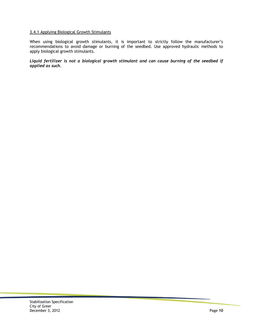#### 3.4.1 Applying Biological Growth Stimulants

When using biological growth stimulants, it is important to strictly follow the manufacturer's recommendations to avoid damage or burning of the seedbed. Use approved hydraulic methods to apply biological growth stimulants.

*Liquid fertilizer is not a biological growth stimulant and can cause burning of the seedbed if applied as such.*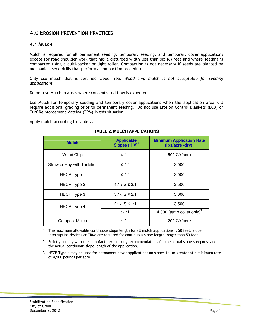## **4.0 EROSION PREVENTION PRACTICES**

#### **4.1 MULCH**

Mulch is required for all permanent seeding, temporary seeding, and temporary cover applications except for road shoulder work that has a disturbed width less than six (6) feet and where seeding is compacted using a culti-packer or light roller. Compaction is not necessary if seeds are planted by mechanical seed drills that perform a compaction procedure.

Only use mulch that is certified weed free. *Wood chip mulch is not acceptable for seeding applications*.

Do not use Mulch in areas where concentrated flow is expected.

Use Mulch for temporary seeding and temporary cover applications when the application area will require additional grading prior to permanent seeding. Do not use Erosion Control Blankets (ECB) or Turf Reinforcement Matting (TRM) in this situation.

Apply mulch according to Table 2.

| <b>Mulch</b>                | <b>Applicable</b><br>Slopes (H:V) <sup>1</sup> | <b>Minimum Application Rate</b><br>(lbs/acre -dry) <sup>2</sup> |
|-----------------------------|------------------------------------------------|-----------------------------------------------------------------|
| Wood Chip                   | $\leq 4:1$                                     | 500 CY/acre                                                     |
| Straw or Hay with Tackifier | ≤ 4:1                                          | 2,000                                                           |
| <b>HECP</b> Type 1          | ≤ 4:1                                          | 2,000                                                           |
| HECP Type 2                 | $4:1 < S \leq 3:1$                             | 2,500                                                           |
| HECP Type 3                 | $3:1 < S \leq 2:1$                             | 3,000                                                           |
| <b>HECP Type 4</b>          | $2:1 < S \leq 1:1$                             | 3,500                                                           |
|                             | >1:1                                           | 4,000 (temp cover only) <sup>3</sup>                            |
| <b>Compost Mulch</b>        | ≤ 2:1                                          | 200 CY/acre                                                     |

#### **TABLE 2: MULCH APPLICATIONS**

1 The maximum allowable continuous slope length for all mulch applications is 50 feet. Slope interruption devices or TRMs are required for continuous slope length longer than 50 feet.

2 Strictly comply with the manufacturer's mixing recommendations for the actual slope steepness and the actual continuous slope length of the application.

3 HECP Type 4 may be used for permanent cover applications on slopes 1:1 or greater at a minimum rate of 4,500 pounds per acre.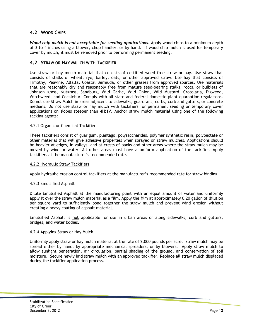### **4.2 WOOD CHIPS**

*Wood chip mulch is not acceptable for seeding applications***.** Apply wood chips to a minimum depth of 3 to 4 inches using a blower, chop handler, or by hand. If wood chip mulch is used for temporary cover by mulch, it must be removed prior to performing permanent seeding.

#### **4.2 STRAW OR HAY MULCH WITH TACKIFIER**

Use straw or hay mulch material that consists of certified weed free straw or hay. Use straw that consists of stalks of wheat, rye, barley, oats, or other approved straw. Use hay that consists of Timothy, Peavine, Alfalfa, Coastal Bermuda, or other grasses from approved sources. Use materials that are reasonably dry and reasonably free from mature seed-bearing stalks, roots, or bulblets of Johnson grass, Nutgrass, Sandburg, Wild Garlic, Wild Onion, Wild Mustard, Crotolaria, Pigweed, Witchweed, and Cocklebur. Comply with all state and federal domestic plant quarantine regulations. Do not use Straw Mulch in areas adjacent to sidewalks, guardrails, curbs, curb and gutters, or concrete medians. Do not use straw or hay mulch with tackifiers for permanent seeding or temporary cover applications on slopes steeper than 4H:1V. Anchor straw mulch material using one of the following tacking agents:

#### 4.2.1 Organic or Chemical Tackifier

These tackifiers consist of guar gum, plantago, polysaccharides, polymer synthetic resin, polypectate or other material that will give adhesive properties when sprayed on straw mulches. Applications should be heavier at edges, in valleys, and at crests of banks and other areas where the straw mulch may be moved by wind or water. All other areas must have a uniform application of the tackifier. Apply tackifiers at the manufacturer's recommended rate.

#### 4.2.2 Hydraulic Straw Tackifiers

Apply hydraulic erosion control tackifiers at the manufacturer's recommended rate for straw binding.

#### 4.2.3 Emulsified Asphalt

Dilute Emulsified Asphalt at the manufacturing plant with an equal amount of water and uniformly apply it over the straw mulch material as a film. Apply the film at approximately 0.20 gallon of dilution per square yard to sufficiently bond together the straw mulch and prevent wind erosion without creating a heavy coating of asphalt material.

Emulsified Asphalt is **not** applicable for use in urban areas or along sidewalks, curb and gutters, bridges, and water bodies.

#### 4.2.4 Applying Straw or Hay Mulch

Uniformly apply straw or hay mulch material at the rate of 2,000 pounds per acre. Straw mulch may be spread either by hand, by appropriate mechanical spreaders, or by blowers. Apply straw mulch to allow sunlight penetration, air circulation, partial shading of the ground, and conservation of soil moisture. Secure newly laid straw mulch with an approved tackifier. Replace all straw mulch displaced during the tackifier application process.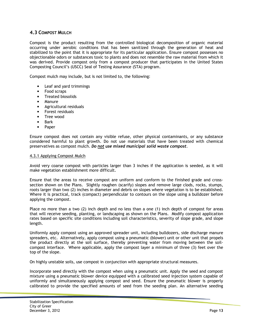#### **4.3 COMPOST MULCH**

Compost is the product resulting from the controlled biological decomposition of organic material occurring under aerobic conditions that has been sanitized through the generation of heat and stabilized to the point that it is appropriate for its particular application. Ensure compost possesses no objectionable odors or substances toxic to plants and does not resemble the raw material from which it was derived. Provide compost only from a compost producer that participates in the United States Composting Council's (USCC) Seal of Testing Assurance (STA) program.

Compost mulch may include, but is not limited to, the following:

- Leaf and yard trimmings
- Food scraps
- Treated biosolids
- Manure
- Agricultural residuals
- Forest residuals
- Tree wood
- Bark
- Paper

Ensure compost does not contain any visible refuse, other physical contaminants, or any substance considered harmful to plant growth. Do not use materials that have been treated with chemical preservatives as compost mulch. *Do not use mixed municipal solid waste compost*.

#### 4.3.1 Applying Compost Mulch

Avoid very coarse compost with particles larger than 3 inches if the application is seeded, as it will make vegetation establishment more difficult.

Ensure that the areas to receive compost are uniform and conform to the finished grade and crosssection shown on the Plans. Slightly roughen (scarify) slopes and remove large clods, rocks, stumps, roots larger than two (2) inches in diameter and debris on slopes where vegetation is to be established. Where it is practical, track (compact) perpendicular to contours on the slope using a bulldozer before applying the compost.

Place no more than a two (2) inch depth and no less than a one (1) inch depth of compost for areas that will receive seeding, planting, or landscaping as shown on the Plans. Modify compost application rates based on specific site conditions including soil characteristics, severity of slope grade, and slope length.

Uniformly apply compost using an approved spreader unit, including bulldozers, side discharge manure spreaders, etc. Alternatively, apply compost using a pneumatic (blower) unit or other unit that propels the product directly at the soil surface, thereby preventing water from moving between the soilcompost interface. Where applicable, apply the compost layer a minimum of three (3) feet over the top of the slope.

On highly unstable soils, use compost in conjunction with appropriate structural measures.

Incorporate seed directly with the compost when using a pneumatic unit. Apply the seed and compost mixture using a pneumatic blower device equipped with a calibrated seed injection system capable of uniformly and simultaneously applying compost and seed. Ensure the pneumatic blower is properly calibrated to provide the specified amounts of seed from the seeding plan. An alternative seeding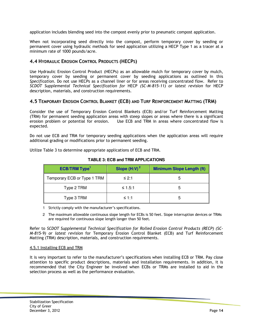application includes blending seed into the compost evenly prior to pneumatic compost application.

When not incorporating seed directly into the compost, perform temporary cover by seeding or permanent cover using hydraulic methods for seed application utilizing a HECP Type 1 as a tracer at a minimum rate of 1000 pounds/acre.

### **4.4 HYDRAULIC EROSION CONTROL PRODUCTS (HECPS)**

Use Hydraulic Erosion Control Product (HECPs) as an allowable mulch for temporary cover by mulch, temporary cover by seeding or permanent cover by seeding applications as outlined In this *Specification*. Do not use HECPs as a channel liner or for areas receiving concentrated flow. Refer to *SCDOT Supplemental Technical Specification for* HECP *(SC-M-815-11) or latest revision* for HECP description, materials, and construction requirements.

#### **4.5 TEMPORARY EROSION CONTROL BLANKET (ECB) AND TURF REINFORCEMENT MATTING (TRM)**

Consider the use of Temporary Erosion Control Blankets (ECB) and/or Turf Reinforcement Matting (TRM) for permanent seeding application areas with steep slopes or areas where there is a significant erosion problem or potential for erosion. Use ECB and TRM in areas where concentrated flow is expected.

Do not use ECB and TRM for temporary seeding applications when the application areas will require additional grading or modifications prior to permanent seeding.

Utilize Table 3 to determine appropriate applications of ECB and TRM.

| <b>ECB/TRM Type<sup>1</sup></b> | Slope $(H:V)2$ | <b>Minimum Slope Length (ft)</b> |
|---------------------------------|----------------|----------------------------------|
| Temporary ECB or Type 1 TRM     | ≤ 2:1          |                                  |
| Type 2 TRM                      | ≤ 1.5:1        |                                  |
| Type 3 TRM                      | $\leq 1:1$     |                                  |

**TABLE 3: ECB and TRM APPLICATIONS** 

1 Strictly comply with the manufacturer's specifications.

2 The maximum allowable continuous slope length for ECBs is 50 feet. Slope interruption devices or TRMs are required for continuous slope length longer than 50 feet.

Refer to *SCDOT Supplemental Technical Specification for Rolled Erosion Control Products (RECP) (SC-M-815-9) or latest revision* for Temporary Erosion Control Blanket (ECB) and Turf Reinforcement Matting (TRM) description, materials, and construction requirements.

#### 4.5.1 Installing ECB and TRM

It is very important to refer to the manufacturer's specifications when installing ECB or TRM. Pay close attention to specific product descriptions, materials and installation requirements. In addition, it is recommended that the City Engineer be involved when ECBs or TRMs are installed to aid in the selection process as well as the performance evaluation.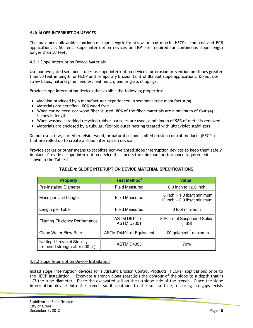#### **4.6 SLOPE INTERRUPTION DEVICES**

The maximum allowable continuous slope length for straw or hay mulch, HECPs, compost and ECB applications is 50 feet. Slope interruption devices or TRM are required for continuous slope length longer than 50 feet.

#### 4.6.1 Slope Interruption Device Materials

Use non-weighted sediment tubes as slope interruption devices for erosion prevention on slopes greater than 50 feet in length for HECP and Temporary Erosion Control Blanket slope applications. Do not use straw bales, natural pine needles, leaf mulch, and or grass clippings.

Provide slope interruption devices that exhibit the following properties:

- Machine produced by a manufacturer experienced in sediment tube manufacturing.
- Materials are certified 100% weed free.
- When curled excelsior wood fiber is used, 80% of the fiber materials are a minimum of four (4) inches in length.
- When washed shredded recycled rubber particles are used, a minimum of 98% of metal is removed.
- Materials are enclosed by a tubular, flexible outer netting treated with ultraviolet stabilizers.

Do not use straw, curled excelsior wood, or natural coconut rolled erosion control products (RECPs) that are rolled up to create a slope interruption device.

Provide stakes or other means to stabilize non-weighted slope interruption devices to keep them safely in place. Provide a slope interruption device that meets the minimum performance requirements shown in the Table 4.

| <b>Property</b>                                                          | <b>Test Method</b> <sup>1</sup> | <b>Value</b>                                                    |
|--------------------------------------------------------------------------|---------------------------------|-----------------------------------------------------------------|
| <b>Pre-installed Diameter</b>                                            | <b>Field Measured</b>           | 6.0 inch to 12.0 inch                                           |
| Mass per Unit Length                                                     | <b>Field Measured</b>           | 6 inch = $1.0$ lbs/ft minimum<br>12 inch = $2.0$ lbs/ft minimum |
| Length per Tube                                                          | <b>Field Measured</b>           | 6 foot minimum                                                  |
| <b>Filtering Efficiency Performance</b>                                  | ASTM D5141 or<br>ASTM D7351     | 80% Total Suspended Solids<br>(TSS)                             |
| Clean Water Flow Rate                                                    | ASTM D4491 or Equivalent        | 100 gal/min/ft <sup>2</sup> minimum                             |
| <b>Netting Ultraviolet Stability</b><br>(retained strength after 500 hr) | <b>ASTM D4355</b>               | 70%                                                             |

#### **TABLE 4: SLOPE INTERUPTION DEVICE MATERIAL SPECIFICATIONS**

#### 4.6.2 Slope Interruption Device Installation

Install slope interruption devices for Hydraulic Erosion Control Products (HECPs) applications prior to the HECP installation. Excavate a trench along (parallel) the contour of the slope to a depth that is 1/3 the tube diameter. Place the excavated soil on the up-slope side of the trench. Place the slope interruption device into the trench so it contours to the soil surface, ensuring no gaps exists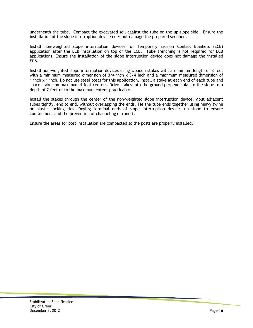underneath the tube. Compact the excavated soil against the tube on the up-slope side. Ensure the installation of the slope interruption device does not damage the prepared seedbed.

Install non-weighted slope interruption devices for Temporary Erosion Control Blankets (ECB) application after the ECB installation on top of the ECB. Tube trenching is not required for ECB applications. Ensure the installation of the slope interruption device does not damage the installed ECB.

Install non-weighted slope interruption devices using wooden stakes with a minimum length of 3 feet with a minimum measured dimension of 3/4 inch x 3/4 inch and a maximum measured dimension of 1 inch x 1 inch. Do not use steel posts for this application. Install a stake at each end of each tube and space stakes on maximum 4 foot centers. Drive stakes into the ground perpendicular to the slope to a depth of 2 feet or to the maximum extent practicable.

Install the stakes through the center of the non-weighted slope interruption device. Abut adjacent tubes tightly, end to end, without overlapping the ends. Tie the tube ends together using heavy twine or plastic locking ties. Dogleg terminal ends of slope interruption devices up slope to ensure containment and the prevention of channeling of runoff.

Ensure the areas for post installation are compacted so the posts are properly installed.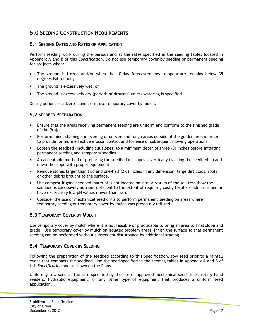# **5.0 SEEDING CONSTRUCTION REQUIREMENTS**

#### **5.1 SEEDING DATES AND RATES OF APPLICATION**

Perform seeding work during the periods and at the rates specified in the seeding tables located in Appendix A and B of this *Specification*. Do not use temporary cover by seeding or permanent seeding for projects when:

- The ground is frozen and/or when the 10-day forecasted low temperature remains below 35 degrees Fahrenheit;
- The ground is excessively wet; or
- The ground is excessively dry (periods of drought) unless watering is specified.

During periods of adverse conditions, use temporary cover by mulch.

#### **5.2 SEEDBED PREPARATION**

- Ensure that the areas receiving permanent seeding are uniform and conform to the finished grade of the Project.
- Perform minor shaping and evening of uneven and rough areas outside of the graded area in order to provide for more effective erosion control and for ease of subsequent mowing operations.
- Loosen the seedbed (including cut slopes) to a minimum depth of three (3) inches before initiating permanent seeding and temporary seeding.
- An acceptable method of preparing the seedbed on slopes is vertically tracking the seedbed up and down the slope with proper equipment.
- Remove stones larger than two and one-half  $(2<sup>1</sup>)$  inches in any dimension, large dirt clods, roots, or other debris brought to the surface.
- Use compost if good seedbed material is not located on site or results of the soil test show the seedbed is excessively nutrient deficient to the extent of requiring costly fertilizer additions and or have excessively low pH values (lower than 5.0).
- Consider the use of mechanical seed drills to perform permanent seeding on areas where temporary seeding or temporary cover by mulch was previously utilized.

### **5.3 TEMPORARY COVER BY MULCH**

Use temporary cover by mulch where it is not feasible or practicable to bring an area to final slope and grade. Use temporary cover by mulch on isolated problem areas. Finish the surface so that permanent seeding can be performed without subsequent disturbance by additional grading.

#### **5.4 TEMPORARY COVER BY SEEDING**

Following the preparation of the seedbed according to this Specification, sow seed prior to a rainfall event that compacts the seedbed. Use the seed specified in the seeding tables in Appendix A and B of this *Specification* and as shown on the Plans.

Uniformly sow seed at the rate specified by the use of approved mechanical seed drills, rotary hand seeders, hydraulic equipment, or any other type of equipment that produces a uniform seed application.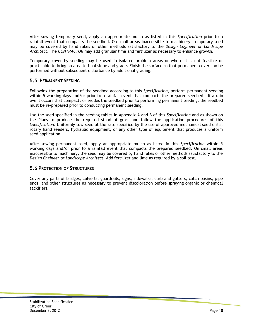After sowing temporary seed, apply an appropriate mulch as listed in this *Specification* prior to a rainfall event that compacts the seedbed. On small areas inaccessible to machinery, temporary seed may be covered by hand rakes or other methods satisfactory to the *Design Engineer or Landscape Architect*. The *CONTRACTOR* may add granular lime and fertilizer as necessary to enhance growth.

Temporary cover by seeding may be used in isolated problem areas or where it is not feasible or practicable to bring an area to final slope and grade. Finish the surface so that permanent cover can be performed without subsequent disturbance by additional grading.

#### **5.5 PERMANENT SEEDING**

Following the preparation of the seedbed according to this *Specification*, perform permanent seeding within 5 working days and/or prior to a rainfall event that compacts the prepared seedbed. If a rain event occurs that compacts or erodes the seedbed prior to performing permanent seeding, the seedbed must be re-prepared prior to conducting permanent seeding.

Use the seed specified in the seeding tables in Appendix A and B of this *Specification* and as shown on the Plans to produce the required stand of grass and follow the application procedures of this *Specification*. Uniformly sow seed at the rate specified by the use of approved mechanical seed drills, rotary hand seeders, hydraulic equipment, or any other type of equipment that produces a uniform seed application.

After sowing permanent seed, apply an appropriate mulch as listed in this *Specification* within 5 working days and/or prior to a rainfall event that compacts the prepared seedbed. On small areas inaccessible to machinery, the seed may be covered by hand rakes or other methods satisfactory to the *Design Engineer or Landscape Architect*. Add fertilizer and lime as required by a soil test.

#### **5.6 PROTECTION OF STRUCTURES**

Cover any parts of bridges, culverts, guardrails, signs, sidewalks, curb and gutters, catch basins, pipe ends, and other structures as necessary to prevent discoloration before spraying organic or chemical tackifiers.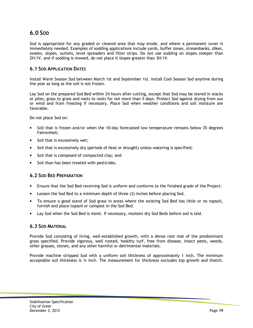# **6.0 SOD**

Sod is appropriate for any graded or cleared area that may erode, and where a permanent cover is immediately needed. Examples of sodding applications include yards, buffer zones, streambanks, dikes, swales, slopes, outlets, level spreaders and filter strips. Do not use sodding on slopes steeper than 2H:1V, and if sodding is mowed, do not place it slopes greater than 3H:1V.

#### **6.1 SOD APPLICATION DATES**

Install Warm Season Sod between March 1st and September 1st. Install Cool Season Sod anytime during the year as long as the soil is not frozen.

Lay Sod on the prepared Sod Bed within 24 hours after cutting, except that Sod may be stored in stacks or piles, grass to grass and roots to roots for not more than 5 days. Protect Sod against drying from sun or wind and from freezing if necessary. Place Sod when weather conditions and soil moisture are favorable.

Do not place Sod on:

- Soil that is frozen and/or when the 10-day forecasted low temperature remains below 35 degrees Fahrenheit;
- Soil that is excessively wet;
- Soil that is excessively dry (periods of heat or drought) unless watering is specified;
- Soil that is composed of compacted clay; and
- Soil than has been treated with pesticides.

#### **6.2 SOD BED PREPARATION**

- Ensure that the Sod Bed receiving Sod is uniform and conforms to the finished grade of the Project.
- Loosen the Sod Bed to a minimum depth of three (3) inches before placing Sod.
- To ensure a good stand of Sod grass in areas where the existing Sod Bed has little or no topsoil, furnish and place topsoil or compost in the Sod Bed.
- Lay Sod when the Sod Bed is moist. If necessary, moisten dry Sod Beds before sod is laid.

#### **6.3 SOD MATERIAL**

Provide Sod consisting of living, well-established growth, with a dense root mat of the predominant grass specified. Provide vigorous, well rooted, healthy turf, free from disease, insect pests, weeds, other grasses, stones, and any other harmful or detrimental materials.

Provide machine stripped Sod with a uniform soil thickness of approximately 1 inch. The minimum acceptable soil thickness is  $\frac{3}{4}$  inch. The measurement for thickness excludes top growth and thatch.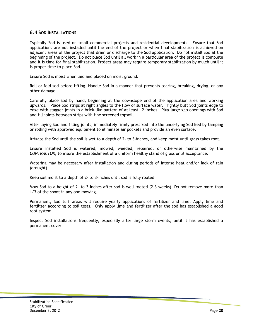#### **6.4 SOD INSTALLATIONS**

Typically Sod is used on small commercial projects and residential developments. Ensure that Sod applications are not installed until the end of the project or when final stabilization is achieved on adjacent areas of the project that drain or discharge to the Sod application. Do not install Sod at the beginning of the project. Do not place Sod until all work in a particular area of the project is complete and it is time for final stabilization. Project areas may require temporary stabilization by mulch until it is proper time to place Sod.

Ensure Sod is moist when laid and placed on moist ground.

Roll or fold sod before lifting. Handle Sod in a manner that prevents tearing, breaking, drying, or any other damage.

Carefully place Sod by hand, beginning at the downslope end of the application area and working upwards. Place Sod strips at right angles to the flow of surface water. Tightly butt Sod joints edge to edge with stagger joints in a brick-like pattern of at least 12 inches. Plug large gap openings with Sod and fill joints between strips with fine screened topsoil.

After laying Sod and filling joints, immediately firmly press Sod into the underlying Sod Bed by tamping or rolling with approved equipment to eliminate air pockets and provide an even surface.

Irrigate the Sod until the soil is wet to a depth of 2- to 3-inches, and keep moist until grass takes root.

Ensure installed Sod is watered, mowed, weeded, repaired, or otherwise maintained by the *CONTRACTOR*, to insure the establishment of a uniform healthy stand of grass until acceptance.*2*

Watering may be necessary after installation and during periods of intense heat and/or lack of rain (drought).

Keep soil moist to a depth of 2- to 3-inches until sod is fully rooted.

Mow Sod to a height of 2- to 3-inches after sod is well-rooted (2-3 weeks). Do not remove more than 1/3 of the shoot in any one mowing.

Permanent, Sod turf areas will require yearly applications of fertilizer and lime. Apply lime and fertilizer according to soil tests. Only apply lime and fertilizer after the sod has established a good root system.

Inspect Sod installations frequently, especially after large storm events, until it has established a permanent cover.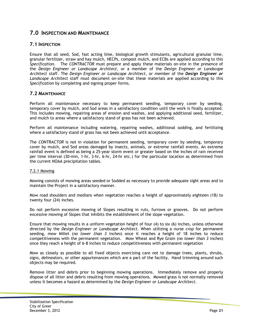### **7.0 INSPECTION AND MAINTENANCE**

#### **7.1 INSPECTION**

Ensure that all seed, Sod, fast acting lime, biological growth stimulants, agricultural granular lime, granular fertilizer, straw and hay mulch, HECPs, compost mulch, and ECBs are applied according to this *Specification*. The *CONTRACTOR* must prepare and apply these materials on-site in the presence of the *Design Engineer or Landscape Architect*, or a member of the *Design Engineer or Landscape Architect* staff. The *Design Engineer or Landscape Architect*, or member of the *Design Engineer or Landscape Architect* staff must document on-site that these materials are applied according to this *Specification* by completing and signing proper forms.

#### **7.2 MAINTENANCE**

Perform all maintenance necessary to keep permanent seeding, temporary cover by seeding, temporary cover by mulch, and Sod areas in a satisfactory condition until the work is finally accepted. This includes mowing, repairing areas of erosion and washes, and applying additional seed, fertilizer, and mulch to areas where a satisfactory stand of grass has not been achieved.

Perform all maintenance including watering, repairing washes, additional sodding, and fertilizing where a satisfactory stand of grass has not been achieved until acceptance.

The *CONTRACTOR* is not in violation for permanent seeding, temporary cover by seeding, temporary cover by mulch, and Sod areas damaged by insects, animals, or extreme rainfall events. An extreme rainfall event is defined as being a 25-year storm event or greater based on the inches of rain received per time interval (30-min, 1-hr, 3-hr, 6-hr, 24-hr etc.) for the particular location as determined from the current NOAA precipitation tables.

#### 7.2.1 Mowing

Mowing consists of mowing areas seeded or Sodded as necessary to provide adequate sight areas and to maintain the Project in a satisfactory manner.

Mow road shoulders and medians when vegetation reaches a height of approximately eighteen (18) to twenty four (24) inches.

Do not perform excessive mowing of Slopes resulting in ruts, furrows or grooves. Do not perform excessive mowing of Slopes that inhibits the establishment of the slope vegetation.

Ensure that mowing results in a uniform vegetation height of four (4) to six (6) inches, unless otherwise directed by the *Design Engineer or Landscape Architect*. When utilizing a nurse crop for permanent seeding, mow Millet (*no lower than 3 inches*) once it reaches a height of 18 inches to reduce competitiveness with the permanent vegetation. Mow Wheat and Rye Grain (*no lower than 3 inches*) once they reach a height of 6-8 inches to reduce competitiveness with permanent vegetation

Mow as closely as possible to all fixed objects exercising care not to damage trees, plants, shrubs, signs, delineators, or other appurtenances which are a part of the facility. Hand trimming around such objects may be required.

Remove litter and debris prior to beginning mowing operations. Immediately remove and properly dispose of all litter and debris resulting from mowing operations. Mowed grass is not normally removed unless it becomes a hazard as determined by the *Design Engineer or Landscape Architect*.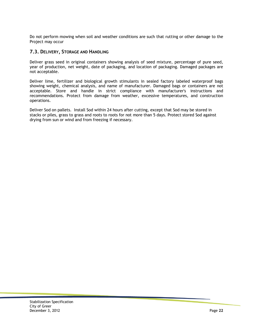Do not perform mowing when soil and weather conditions are such that rutting or other damage to the Project may occur

#### **7.3. DELIVERY, STORAGE AND HANDLING**

Deliver grass seed in original containers showing analysis of seed mixture, percentage of pure seed, year of production, net weight, date of packaging, and location of packaging. Damaged packages are not acceptable.

Deliver lime, fertilizer and biological growth stimulants in sealed factory labeled waterproof bags showing weight, chemical analysis, and name of manufacturer. Damaged bags or containers are not acceptable. Store and handle in strict compliance with manufacturer's instructions and recommendations. Protect from damage from weather, excessive temperatures, and construction operations.

Deliver Sod on pallets. Install Sod within 24 hours after cutting, except that Sod may be stored in stacks or piles, grass to grass and roots to roots for not more than 5 days. Protect stored Sod against drying from sun or wind and from freezing if necessary.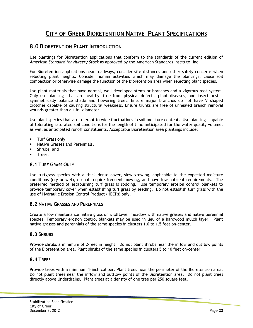# **CITY OF GREER BIORETENTION NATIVE PLANT SPECIFICATIONS**

## **8.0 BIORETENTION PLANT INTRODUCTION**

Use plantings for Bioretention applications that conform to the standards of the current edition of *American Standard for Nursery Stock* as approved by the American Standards Institute, Inc.

For Bioretention applications near roadways, consider site distances and other safety concerns when selecting plant heights. Consider human activities which may damage the plantings, cause soil compaction or otherwise damage the function of the Bioretention area when selecting plant species.

Use plant materials that have normal, well developed stems or branches and a vigorous root system. Only use plantings that are healthy, free from physical defects, plant diseases, and insect pests. Symmetrically balance shade and flowering trees. Ensure major branches do not have V shaped crotches capable of causing structural weakness. Ensure trunks are free of unhealed branch removal wounds greater than a 1 in. diameter.

Use plant species that are tolerant to wide fluctuations in soil moisture content. Use plantings capable of tolerating saturated soil conditions for the length of time anticipated for the water quality volume, as well as anticipated runoff constituents. Acceptable Bioretention area plantings include:

- Turf Grass only,
- Native Grasses and Perennials,
- Shrubs, and
- Trees.

#### **8.1 TURF GRASS ONLY**

Use turfgrass species with a thick dense cover, slow growing, applicable to the expected moisture conditions (dry or wet), do not require frequent mowing, and have low nutrient requirements. The preferred method of establishing turf grass is sodding. Use temporary erosion control blankets to provide temporary cover when establishing turf grass by seeding. Do not establish turf grass with the use of Hydraulic Erosion Control Product (HECPs) only.

#### **8.2 NATIVE GRASSES AND PERENNIALS**

Create a low maintenance native grass or wildflower meadow with native grasses and native perennial species. Temporary erosion control blankets may be used in lieu of a hardwood mulch layer. Plant native grasses and perennials of the same species in clusters 1.0 to 1.5 feet on-center.

#### **8.3 SHRUBS**

Provide shrubs a minimum of 2-feet in height. Do not plant shrubs near the inflow and outflow points of the Bioretention area. Plant shrubs of the same species in clusters 5 to 10 feet on-center.

#### **8.4 TREES**

Provide trees with a minimum 1-inch caliper. Plant trees near the perimeter of the Bioretention area. Do not plant trees near the inflow and outflow points of the Bioretention area. Do not plant trees directly above Underdrains. Plant trees at a density of one tree per 250 square feet.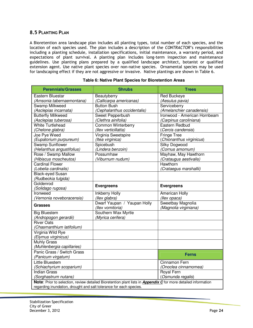#### **8.5 PLANTING PLAN**

A Bioretention area landscape plan includes all planting types, total number of each species, and the location of each species used. The plan includes a description of the *CONTRACTOR*'s responsibilities including a planting schedule, installation specifications, initial maintenance, a warranty period, and expectations of plant survival. A planting plan includes long-term inspection and maintenance guidelines. Use planting plans prepared by a qualified landscape architect, botanist or qualified extension agent. Use native plant species over non-native species. Ornamental species may be used for landscaping effect if they are not aggressive or invasive. Native plantings are shown in Table 6.

| <b>Perennials/Grasses</b>                                          | <b>Shrubs</b>                                                                                                         | <b>Trees</b>                               |
|--------------------------------------------------------------------|-----------------------------------------------------------------------------------------------------------------------|--------------------------------------------|
| Eastern Bluestar                                                   | Beautyberry                                                                                                           | <b>Red Buckeye</b>                         |
| (Amsonia tabernaemontana)                                          | (Callicarpa americanas)                                                                                               | (Aesulus pavia)                            |
| <b>Swamp Milkweed</b>                                              | <b>Button Bush</b>                                                                                                    | Serviceberry                               |
| (Asclepias incarnata)                                              | (Cephalanthus occidentalis)                                                                                           | (Amelanchier canadensis)                   |
| <b>Butterfly Milkweed</b>                                          | Sweet Pepperbush                                                                                                      | Ironwood - American Hornbeam               |
| (Asclepias tuberosa)                                               | (Clethra ainifolia)                                                                                                   | (Carpinus caroliniana)                     |
| <b>White Turtlehead</b>                                            | Common Winterberry                                                                                                    | Eastern Redbud                             |
| (Chelone glabra)                                                   | (llex verticillatta)                                                                                                  | (Cercis candensis)                         |
| Joe Pye Weed                                                       | Virginia Sweetspire                                                                                                   | <b>Fringe Tree</b>                         |
| (Eupatorium purpureum)                                             | (Itea virginica)                                                                                                      | (Chionanthus virginicus)                   |
| <b>Swamp Sunflower</b>                                             | Spicebush                                                                                                             | <b>Silky Dogwood</b>                       |
| (Helianthus angustifolius)                                         | (Lindera benzoin)                                                                                                     | (Cornus amomum)                            |
| Rose / Swamp Mallow                                                | Possumhaw                                                                                                             | Mayhaw, May Hawthorn                       |
| (Hibiscus moscheutos)                                              | (Viburnum nudum)                                                                                                      | (Crataugus aestivalis)                     |
| <b>Cardinal Flower</b>                                             |                                                                                                                       | Hawthorn                                   |
| (Lobelia cardinalis)                                               |                                                                                                                       | (Crataegus marshallii)                     |
| <b>Black-eyed Susan</b>                                            |                                                                                                                       |                                            |
| (Rudbeckia fulgida)                                                |                                                                                                                       |                                            |
| Goldenrod                                                          | <b>Evergreens</b>                                                                                                     | <b>Evergreens</b>                          |
| (Solidago rugosa)                                                  |                                                                                                                       |                                            |
| Ironweed                                                           | <b>Inkberry Holly</b>                                                                                                 | <b>American Holly</b>                      |
| (Vernonia noveboracensis)                                          | (llex glabra)                                                                                                         | (llex opaca)                               |
| <b>Grasses</b>                                                     | Dwarf Yaupan / Yaupan Holly<br>(llex vomitoria)                                                                       | Sweetbay Magnolia<br>(Magnolia virginiana) |
| <b>Big Bluestem</b>                                                | Southern Wax Myrtle                                                                                                   |                                            |
| (Andropogon gerardii)                                              | (Myrica cerifera)                                                                                                     |                                            |
| <b>River Oats</b>                                                  |                                                                                                                       |                                            |
| (Chasmanthium latifolium)                                          |                                                                                                                       |                                            |
| Virginia Wild Rye                                                  |                                                                                                                       |                                            |
| (Elymus virginicus)                                                |                                                                                                                       |                                            |
| <b>Muhly Grass</b>                                                 |                                                                                                                       |                                            |
| (Muhlenbergia capillaries)                                         |                                                                                                                       |                                            |
| Panic Grass / Switch Grass                                         |                                                                                                                       | <b>Ferns</b>                               |
| (Panicum virgatum)                                                 |                                                                                                                       |                                            |
| Little Bluestem                                                    |                                                                                                                       | Cinnamon Fern                              |
| (Schiachyrium scoparium)                                           |                                                                                                                       | (Onoclea cinnamomea)                       |
| <b>Indian Grass</b>                                                |                                                                                                                       | Royal Fern                                 |
| (Sorghastrum nutans)                                               |                                                                                                                       | (Osmunda regalis)                          |
|                                                                    | Note: Prior to selection, review detailed Bioretention plant lists in <b>Appendix C</b> for more detailed information |                                            |
| regarding inundation, drought and salt tolerance for each species. |                                                                                                                       |                                            |

#### **Table 6: Native Plant Species for Bioretention Areas**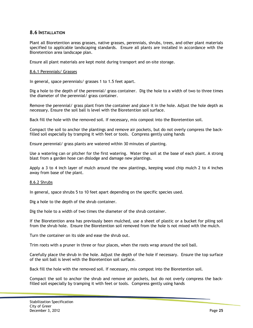#### **8.6 INSTALLATION**

Plant all Bioretention areas grasses, native grasses, perennials, shrubs, trees, and other plant materials specified to applicable landscaping standards. Ensure all plants are installed in accordance with the Bioretention area landscape plan.

Ensure all plant materials are kept moist during transport and on-site storage.

#### 8.6.1 Perennials/ Grasses

In general, space perennials/ grasses 1 to 1.5 feet apart.

Dig a hole to the depth of the perennial/ grass container. Dig the hole to a width of two to three times the diameter of the perennial/ grass container.

Remove the perennial/ grass plant from the container and place it in the hole. Adjust the hole depth as necessary. Ensure the soil ball is level with the Bioretention soil surface.

Back fill the hole with the removed soil. If necessary, mix compost into the Bioretention soil.

Compact the soil to anchor the plantings and remove air pockets, but do not overly compress the backfilled soil especially by tramping it with feet or tools. Compress gently using hands

Ensure perennial/ grass plants are watered within 30 minutes of planting.

Use a watering can or pitcher for the first watering. Water the soil at the base of each plant. A strong blast from a garden hose can dislodge and damage new plantings.

Apply a 3 to 4 inch layer of mulch around the new plantings, keeping wood chip mulch 2 to 4 inches away from base of the plant.

#### 8.6.2 Shrubs

In general, space shrubs 5 to 10 feet apart depending on the specific species used.

Dig a hole to the depth of the shrub container.

Dig the hole to a width of two times the diameter of the shrub container.

If the Bioretention area has previously been mulched, use a sheet of plastic or a bucket for piling soil from the shrub hole. Ensure the Bioretention soil removed from the hole is not mixed with the mulch.

Turn the container on its side and ease the shrub out.

Trim roots with a pruner in three or four places, when the roots wrap around the soil ball.

Carefully place the shrub in the hole. Adjust the depth of the hole if necessary. Ensure the top surface of the soil ball is level with the Bioretention soil surface.

Back fill the hole with the removed soil. If necessary, mix compost into the Bioretention soil.

Compact the soil to anchor the shrub and remove air pockets, but do not overly compress the backfilled soil especially by tramping it with feet or tools. Compress gently using hands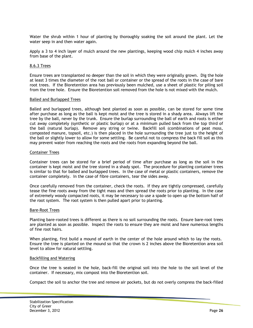Water the shrub within 1 hour of planting by thoroughly soaking the soil around the plant. Let the water seep in and then water again.

Apply a 3 to 4 inch layer of mulch around the new plantings, keeping wood chip mulch 4 inches away from base of the plant.

#### 8.6.3 Trees

Ensure trees are transplanted no deeper than the soil in which they were originally grown. Dig the hole at least 3 times the diameter of the root ball or container or the spread of the roots in the case of bare root trees. If the Bioretention area has previously been mulched, use a sheet of plastic for piling soil from the tree hole. Ensure the Bioretention soil removed from the hole is not mixed with the mulch.

#### Balled and Burlapped Trees

Balled and burlapped trees, although best planted as soon as possible, can be stored for some time after purchase as long as the ball is kept moist and the tree is stored in a shady area. Always lift the tree by the ball, never by the trunk. Ensure the burlap surrounding the ball of earth and roots is either cut away completely (synthetic or plastic burlap) or at a minimum pulled back from the top third of the ball (natural burlap). Remove any string or twine. Backfill soil (combinations of peat moss, composted manure, topsoil, etc.) is then placed in the hole surrounding the tree just to the height of the ball or slightly lower to allow for some settling. Be careful not to compress the back fill soil as this may prevent water from reaching the roots and the roots from expanding beyond the ball.

#### Container Trees

Container trees can be stored for a brief period of time after purchase as long as the soil in the container is kept moist and the tree stored in a shady spot. The procedure for planting container trees is similar to that for balled and burlapped trees. In the case of metal or plastic containers, remove the container completely. In the case of fibre containers, tear the sides away.

Once carefully removed from the container, check the roots. If they are tightly compressed, carefully tease the fine roots away from the tight mass and then spread the roots prior to planting. In the case of extremely woody compacted roots, it may be necessary to use a spade to open up the bottom half of the root system. The root system is then pulled apart prior to planting.

#### Bare-Root Trees

Planting bare-rooted trees is different as there is no soil surrounding the roots. Ensure bare-root trees are planted as soon as possible. Inspect the roots to ensure they are moist and have numerous lengths of fine root hairs.

When planting, first build a mound of earth in the center of the hole around which to lay the roots. Ensure the tree is planted on the mound so that the crown is 2 inches above the Bioretention area soil level to allow for natural settling.

#### Backfilling and Watering

Once the tree is seated in the hole, back-fill the original soil into the hole to the soil level of the container. If necessary, mix compost into the Bioretention soil.

Compact the soil to anchor the tree and remove air pockets, but do not overly compress the back-filled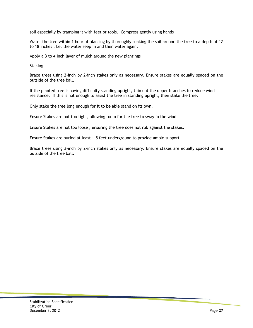soil especially by tramping it with feet or tools. Compress gently using hands

Water the tree within 1 hour of planting by thoroughly soaking the soil around the tree to a depth of 12 to 18 inches . Let the water seep in and then water again.

Apply a 3 to 4 inch layer of mulch around the new plantings

**Staking** 

Brace trees using 2-inch by 2-inch stakes only as necessary. Ensure stakes are equally spaced on the outside of the tree ball.

If the planted tree is having difficulty standing upright, thin out the upper branches to reduce wind resistance. If this is not enough to assist the tree in standing upright, then stake the tree.

Only stake the tree long enough for it to be able stand on its own.

Ensure Stakes are not too tight, allowing room for the tree to sway in the wind.

Ensure Stakes are not too loose , ensuring the tree does not rub against the stakes.

Ensure Stakes are buried at least 1.5 feet underground to provide ample support.

Brace trees using 2-inch by 2-inch stakes only as necessary. Ensure stakes are equally spaced on the outside of the tree ball.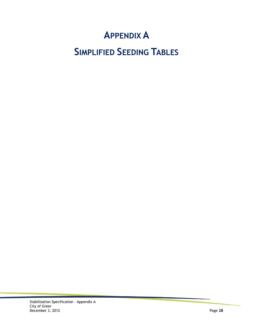# **APPENDIX A**

# **SIMPLIFIED SEEDING TABLES**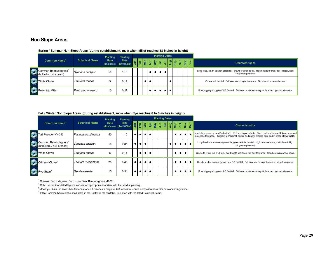#### **Non Slope Areas**

|                                              |                       | <b>Planting</b> | Planting                                     |  |           |    |   | <b>Planting Dates</b> |  |  |  |                                                                                                                             |
|----------------------------------------------|-----------------------|-----------------|----------------------------------------------|--|-----------|----|---|-----------------------|--|--|--|-----------------------------------------------------------------------------------------------------------------------------|
| Common Name <sup>4</sup>                     | <b>Botanical Name</b> | Rate            | Rate<br>Rate Rate<br>(lbs/acre) (lbs/1000sf) |  |           | ສ∣ | 髙 | 真                     |  |  |  | <b>Characteristics</b>                                                                                                      |
| mmon Bermudagrass'<br>(hulled = hull absent) | Cynodon dactylon      | 50              | 1.15                                         |  | $\bullet$ |    |   |                       |  |  |  | Long-lived, warm season perennial, grows 4-6 inches tall. High heat tolerance, salt tolerant, high<br>nitrogen requirement. |
| <b>White Clover</b>                          | Trifolium repens      |                 | 0.11                                         |  |           |    |   |                       |  |  |  | Grows to 1 foot tall. Full sun, low drought tolerance. Good erosion control cover.                                          |
| Browntop Millet                              | Panicum ramosum       | 10              | 0.23                                         |  |           |    |   |                       |  |  |  | Bunch type grain, grows 2-5 feet tall. Full sun, moderate drought tolerance, high salt tolerance.                           |

#### **Spring / Summer Non Slope Areas (during establishment, mow when Millet reaches 18-inches in height)**

|                                                 |                       | <b>Planting</b> | Planting                                                                                                                                                       |           |           |                  |  | <b>Planting Dates</b> |  |                  |                  |                               |                                                                                                                                                                                                                     |
|-------------------------------------------------|-----------------------|-----------------|----------------------------------------------------------------------------------------------------------------------------------------------------------------|-----------|-----------|------------------|--|-----------------------|--|------------------|------------------|-------------------------------|---------------------------------------------------------------------------------------------------------------------------------------------------------------------------------------------------------------------|
| Common Name <sup>4</sup>                        | <b>Botanical Name</b> | Rate            | Rate<br>Trace Hate $\frac{1}{5}$ $\frac{1}{6}$ $\frac{1}{6}$ $\frac{1}{2}$ $\frac{1}{3}$ $\frac{1}{3}$ $\frac{1}{3}$ $\frac{1}{3}$ $\frac{1}{6}$ $\frac{1}{6}$ |           |           |                  |  |                       |  | $\overline{5}$   |                  | $\frac{5}{2}$   $\frac{6}{2}$ | <b>Characteristics</b>                                                                                                                                                                                              |
| Fall Fescue (KY-31)                             | Festuca arundinacea   | 50              | 1.15                                                                                                                                                           | $\bullet$ |           | $\bullet\bullet$ |  |                       |  |                  | $\bullet\bullet$ |                               | Bunch-type grass, grows 2-4 feet tall. Full sun to part shade. Good heat and drought tolerance as well<br>as shade tolerance. Tolerant to marginal, acidic, and poorly drained soils and in areas of low fertility. |
| Common Bermudagrass<br>unhulled = hull present) | Cynodon dactylon      | 15              | 0.34                                                                                                                                                           |           | $\bullet$ |                  |  |                       |  |                  | . <b>. .</b> .   |                               | Long-lived, warm season perennial, grows 4-6 inches tall. High heat tolerance, salt tolerant, high<br>nitrogen requirement.                                                                                         |
| <b>White Clover</b>                             | Trifolium repens      | 5               | 0.11                                                                                                                                                           | $\bullet$ |           | $\bullet$        |  |                       |  | $\bullet\bullet$ |                  |                               | Grows to 1 foot tall. Full sun, low drought tolerance, low salt tolerance. Good erosion control cover.                                                                                                              |
| Crimson Clover <sup>2</sup>                     | Trfolium incarnatum   | 20              | 0.46                                                                                                                                                           |           |           | $\bullet\bullet$ |  |                       |  | $\bullet$ 1      |                  | .                             | Upright winter legume, grows from 1-3 feet tall. Full sun, low drought tolerance, no salt tolerance.                                                                                                                |
| $\bigvee$ Rye Grain <sup>3</sup>                | Secale cereale        | 15              | 0.34                                                                                                                                                           |           |           | $\bullet\bullet$ |  |                       |  | • ⊢ • ⊢          |                  | $\bullet$                     | Bunch type grain, grows 2-5 feet tall. Full sun, moderate drought tolerance, high salt tolerance.                                                                                                                   |

#### **Fall / Winter Non Slope Areas (during establishment, mow when Rye reaches 6 to 8-inches in height)**

 $<sup>1</sup>$  Common Bermudagrass: Do not use Giant Bermudagrass(NK-37).</sup>

 $2^{2}$  Only use pre-inoculated legumes or use an appropriate inoculant with the seed at planting.

**<sup>3</sup>**Mow Rye Grain (no lower than 3 inches) once it reaches a height of 6-8 inches to reduce competitiveness with permanent vegetation.

<sup>4</sup> If the Common Name of the seed listed in the Tables is not available, use seed with the listed Botanical Name.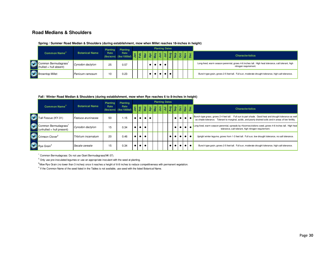#### **Road Medians & Shoulders**

|                                          |                       | <b>Planting</b> | Planting                        |               |  |  |             | <b>Planting Dates</b> |  |  |                                                                                                                             |
|------------------------------------------|-----------------------|-----------------|---------------------------------|---------------|--|--|-------------|-----------------------|--|--|-----------------------------------------------------------------------------------------------------------------------------|
| <b>Common Name</b> <sup>4</sup>          | <b>Botanical Name</b> | Rate            | Rate<br>(lbs/acre) (lbs/1000sf) | $\frac{5}{2}$ |  |  |             |                       |  |  | <b>Characteristics</b>                                                                                                      |
| Common Bermudagras<br>mmon Bermudagrass' | Cynodon dactylon      | 25              | 0.57                            |               |  |  | $\bullet$ l |                       |  |  | Long-lived, warm season perennial, grows 4-6 inches tall. High heat tolerance, salt tolerant, high<br>nitrogen requirement. |
| <b>Browntop Millet</b>                   | Panicum ramosum       | 10              | 0.23                            |               |  |  |             |                       |  |  | Bunch type grain, grows 2-5 feet tall. Full sun, moderate drought tolerance, high salt tolerance.                           |

#### **Spring / Summer Road Median & Shoulders (during establishment, mow when Millet reaches 18-inches in height)**

#### **Fall / Winter Road Median & Shoulders (during establishment, mow when Rye reaches 6 to 8-inches in height)**

|                                                               |                       | <b>Planting</b> | Planting                                                  |           |                    |                  |  | <b>Planting Dates</b>                                                 |  |                                                            |              |                         |                             |                                                                                                                                                                                                                        |
|---------------------------------------------------------------|-----------------------|-----------------|-----------------------------------------------------------|-----------|--------------------|------------------|--|-----------------------------------------------------------------------|--|------------------------------------------------------------|--------------|-------------------------|-----------------------------|------------------------------------------------------------------------------------------------------------------------------------------------------------------------------------------------------------------------|
| Common Name <sup>4</sup>                                      | <b>Botanical Name</b> | Rate            | Rate<br>$\frac{Rate}{(1bs/acre)}$ (lbs/acre) (lbs/1000sf) |           | Feb                | $\frac{5}{2}$    |  | $\frac{1}{2}$ $\frac{1}{2}$ $\frac{1}{2}$ $\frac{1}{2}$ $\frac{1}{2}$ |  | $\frac{1}{2}$                                              |              |                         | $\frac{1}{2}$ $\frac{8}{8}$ | <b>Characteristics</b>                                                                                                                                                                                                 |
| Fall Fescue (KY-31)                                           | Festuca aruninacea    | 50              | 1.15                                                      | $\bullet$ | $\bullet$ 1        | $\bullet\bullet$ |  |                                                                       |  | $\bullet$                                                  |              | $\bullet\bullet\bullet$ |                             | Full sun to part shade. Good heat and drought tolerance as well<br>Bunch-type grass, grows 2-4 feet tall.<br>as shade tolerance. Tolerant to marginal, acidic, and poorly drained soils and in areas of low fertility. |
| Common Bermudagrass <sup>1</sup><br>(unhulled = hull present) | Cynodon dactylon      | 15              | 0.34                                                      | $\bullet$ | $\bullet$ 1        |                  |  |                                                                       |  | $\bullet$                                                  | . <b>.</b> . |                         |                             | Long-lived, warm season perennial, spreads by rhizomes/stolons seed, grows 4-6 inches tall. High heat<br>tolerance, salt tolerant, high nitrogen requirement.                                                          |
| Crimson Clover <sup>2</sup>                                   | Trfolium incarnatum   | 20              | 0.46                                                      | $\bullet$ | $\bullet$          |                  |  |                                                                       |  |                                                            |              |                         | $\bullet\bullet$            | Upright winter legume, grows from 1-3 feet tall. Full sun, low drought tolerance, no salt tolerance.                                                                                                                   |
| $\bigcup$ Rye Grain <sup>3</sup>                              | Secale cereale        | 15              | 0.34                                                      | $\bullet$ | $\bullet$ $\vdash$ | $\bullet$        |  |                                                                       |  | $\bullet\bullet\bullet\bullet\bullet\bullet\bullet\bullet$ |              |                         |                             | Bunch type grain, grows 2-5 feet tall. Full sun, moderate drought tolerance, high salt tolerance.                                                                                                                      |

<sup>1</sup> Common Bermudagrass: Do not use Giant Bermudagrass(NK-37).

 $^2$  Only use pre-inoculated legumes or use an appropriate inoculant with the seed at planting.

<sup>3</sup>Mow Rye Grain (no lower than 3 inches) once it reaches a height of 6-8 inches to reduce competitiveness with permanent vegetation.

 $<sup>4</sup>$  If the Common Name of the seed listed in the Tables is not available, use seed with the listed Botanical Name.</sup>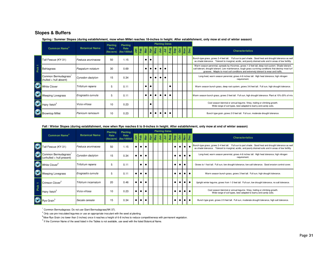#### **Slopes & Buffers**

| Spring / Summer Slopes (during establishment, mow when Millet reaches 18-inches in height. After establishment, only mow at end of winter season) |  |
|---------------------------------------------------------------------------------------------------------------------------------------------------|--|
|---------------------------------------------------------------------------------------------------------------------------------------------------|--|

|                      |                                                 |                       | <b>Planting</b> | <b>Planting</b>                     |               |           |           |           |             | <b>Planting Dates</b> |  |                                                                                                                                                                                                                                                                                                                                                                                              |                                                                                                                                                                                                                                                                                                        |
|----------------------|-------------------------------------------------|-----------------------|-----------------|-------------------------------------|---------------|-----------|-----------|-----------|-------------|-----------------------|--|----------------------------------------------------------------------------------------------------------------------------------------------------------------------------------------------------------------------------------------------------------------------------------------------------------------------------------------------------------------------------------------------|--------------------------------------------------------------------------------------------------------------------------------------------------------------------------------------------------------------------------------------------------------------------------------------------------------|
|                      | <b>Common Name<sup>4</sup></b>                  | <b>Botanical Name</b> | Rate            | Rate<br>$(lbs/acre)$ $(lbs/1000sf)$ | $\frac{1}{2}$ |           |           |           |             |                       |  | $\frac{1}{2} \frac{1}{2} \frac{1}{2} \frac{1}{2} \frac{1}{2} \frac{1}{2} \frac{1}{2} \frac{1}{2} \frac{1}{2} \frac{1}{2} \frac{1}{2} \frac{1}{2} \frac{1}{2} \frac{1}{2} \frac{1}{2} \frac{1}{2} \frac{1}{2} \frac{1}{2} \frac{1}{2} \frac{1}{2} \frac{1}{2} \frac{1}{2} \frac{1}{2} \frac{1}{2} \frac{1}{2} \frac{1}{2} \frac{1}{2} \frac{1}{2} \frac{1}{2} \frac{1}{2} \frac{1}{2} \frac{$ | <b>Characteristics</b>                                                                                                                                                                                                                                                                                 |
|                      | Tall Fescue (KY-31)                             | Festuca aruninacea    | 50              | 1.15                                |               | $\bullet$ |           |           |             |                       |  |                                                                                                                                                                                                                                                                                                                                                                                              | Bunch-type grass, grows 2-4 feet tall. Full sun to part shade. Good heat and drought tolerance as well<br>as shade tolerance. Tolerant to marginal, acidic, and poorly drained soils and in areas of low fertility.                                                                                    |
| $\mathbf{r}$<br>Pick | Bahiagrass                                      | Paspalum notatum      | 30              | 0.69                                |               | $\bullet$ | $\bullet$ | $\bullet$ | $\bullet$ 1 |                       |  |                                                                                                                                                                                                                                                                                                                                                                                              | Warm season perennial, spreads by rhizomes, grows 1-2 feet tall, deep root system. Shade tolerant,<br>salt tolerant, drought tolerant. Low maintenance, tough grass surviving conditions that destroy most turf<br>grasses. Adapts to most soil conditions and extremely tolerant to wear and traffic. |
|                      | Common Bermudagrass<br>$(hullet = hull$ absent) | Cynodon dactylon      | 15              | 0.34                                |               |           |           |           | $\bullet$ 1 |                       |  |                                                                                                                                                                                                                                                                                                                                                                                              | Long-lived, warm season perennial, grows 4-6 inches tall. High heat tolerance, high nitrogen<br>requirement.                                                                                                                                                                                           |
|                      | <b>White Clover</b>                             | Trifolium repens      | 5               | 0.11                                |               | $\bullet$ |           |           |             |                       |  |                                                                                                                                                                                                                                                                                                                                                                                              | Warm season bunch grass, deep root system, grows 3-6 feet tall. Full sun, high drought tolerance.                                                                                                                                                                                                      |
|                      | Weeping Lovegrass                               | Erograstis curvula    | 5               | 0.11                                |               |           |           |           | $\bullet$   |                       |  |                                                                                                                                                                                                                                                                                                                                                                                              | Warm season bunch grass, grows 3 feet tall. Full sun, high drought tolerance. Plant at 10%-20% of mix.                                                                                                                                                                                                 |
|                      | Hairy Vetch <sup>2</sup>                        | Vicia villosa         | 10              | 0.23                                |               |           |           |           |             |                       |  |                                                                                                                                                                                                                                                                                                                                                                                              | Cool season biennial or annual legume. Viney, trailing or climbing growth.<br>Wide range of soil types, best adapted to loamy and sandy soils.                                                                                                                                                         |
|                      | <b>Browntop Millet</b>                          | Panicum ramosum       | 10              | 0.23                                |               |           |           |           |             |                       |  |                                                                                                                                                                                                                                                                                                                                                                                              | Bunch type grain, grows 2-5 feet tall. Full sun, moderate drought tolerance.                                                                                                                                                                                                                           |

#### **Fall / Winter Slopes (during establishment, mow when Rye reaches 6 to 8-inches in height. After establishment, only mow at end of winter season)**

|      |                                                  |                       | <b>Planting</b>    | <b>Planting</b>      |           |                                                                                                                                                                                                                                                                                                                     |           |  | <b>Planting Dates</b> |  |           |           |             |           |                                                                                                                                                                                                                     |
|------|--------------------------------------------------|-----------------------|--------------------|----------------------|-----------|---------------------------------------------------------------------------------------------------------------------------------------------------------------------------------------------------------------------------------------------------------------------------------------------------------------------|-----------|--|-----------------------|--|-----------|-----------|-------------|-----------|---------------------------------------------------------------------------------------------------------------------------------------------------------------------------------------------------------------------|
|      | <b>Common Name</b> <sup>4</sup>                  | <b>Botanical Name</b> | Rate<br>(lbs/acre) | Rate<br>(lbs/1000sf) |           | $\frac{1}{2}$ $\frac{1}{2}$ $\frac{1}{2}$ $\frac{1}{2}$ $\frac{1}{2}$ $\frac{1}{2}$ $\frac{1}{2}$ $\frac{1}{2}$ $\frac{1}{2}$ $\frac{1}{2}$ $\frac{1}{2}$ $\frac{1}{2}$ $\frac{1}{2}$ $\frac{1}{2}$ $\frac{1}{2}$ $\frac{1}{2}$ $\frac{1}{2}$ $\frac{1}{2}$ $\frac{1}{2}$ $\frac{1}{2}$ $\frac{1}{2}$ $\frac{1}{2}$ |           |  |                       |  |           |           |             |           | <b>Characteristics</b>                                                                                                                                                                                              |
|      | all Fescue (KY-31)                               | Festuca aruninacea    | 50                 | 1.15                 | $\bullet$ | $\bullet$                                                                                                                                                                                                                                                                                                           | $\bullet$ |  |                       |  | $\bullet$ |           | $\bullet$   |           | Bunch-type grass, grows 2-4 feet tall. Full sun to part shade. Good heat and drought tolerance as well<br>as shade tolerance. Tolerant to marginal, acidic, and poorly drained soils and in areas of low fertility. |
|      | Common Bermudagrass<br>(unhulled = hull present) | Cynodon dactylon      | 15                 | 0.34                 | $\bullet$ | $\bullet$                                                                                                                                                                                                                                                                                                           | $\bullet$ |  |                       |  | $\bullet$ |           | $\bullet$   | $\bullet$ | Long-lived, warm season perennial, grows 4-6 inches tall. High heat tolerance, high nitrogen<br>requirement.                                                                                                        |
|      | White Clover <sup>2</sup>                        | Trifolium repens      | 5                  | 0.11                 |           | $\bullet$                                                                                                                                                                                                                                                                                                           |           |  |                       |  | ٠         | $\bullet$ | $\bullet$   |           | Grows to 1 foot tall. Full sun, low drought tolerance, low salt tolerance. Good erosion control cover.                                                                                                              |
|      | Weeping Lovegrass                                | Erograstis curvula    | 5                  | 0.11                 | $\bullet$ | $\bullet$ 1                                                                                                                                                                                                                                                                                                         | $\bullet$ |  |                       |  | $\bullet$ | $\bullet$ | $\bullet$   | $\bullet$ | Warm season bunch grass, grows 3 feet tall. Full sun, high drought tolerance.                                                                                                                                       |
|      | Crimson Clover <sup>2</sup>                      | Trfolium incarnatum   | 20                 | 0.46                 | $\bullet$ | $\bullet$                                                                                                                                                                                                                                                                                                           |           |  |                       |  | $\bullet$ |           | $\bullet$   | $\bullet$ | Upright winter legume, grows from 1-3 feet tall. Full sun, low drought tolerance, no salt tolerance.                                                                                                                |
| Pick | Hairy Vetch <sup>2</sup>                         | Vicia villosa         | 10                 | 0.23                 | $\bullet$ | $\bullet$                                                                                                                                                                                                                                                                                                           | $\bullet$ |  |                       |  | $\bullet$ |           | $\bullet$ l |           | Cool season biennial or annual legume. Viney, trailing or climbing growth.<br>Wide range of soil types, best adapted to loamy and sandy soils.                                                                      |
|      | Rye Grain <sup>3</sup>                           | Secale cereale        | 15                 | 0.34                 | $\bullet$ | $\bullet$                                                                                                                                                                                                                                                                                                           | $\bullet$ |  |                       |  | $\bullet$ | $\bullet$ | $\bullet$ 1 | $\bullet$ | Bunch type grain, grows 2-5 feet tall. Full sun, moderate drought tolerance, high salt tolerance.                                                                                                                   |

 $1$  Common Bermudagrass: Do not use Giant Bermudagrass(NK-37).

 $2$  Only use pre-inoculated legumes or use an appropriate inoculant with the seed at planting.

**<sup>3</sup>**Mow Rye Grain (no lower than 3 inches) once it reaches a height of 6-8 inches to reduce competitiveness with permanent vegetation.

<sup>4</sup> If the Common Name of the seed listed in the Tables is not available, use seed with the listed Botanical Name.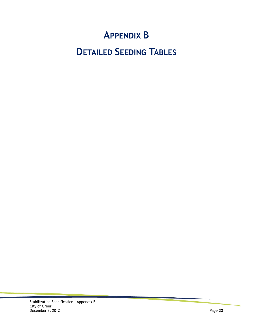# **APPENDIX B**

# **DETAILED SEEDING TABLES**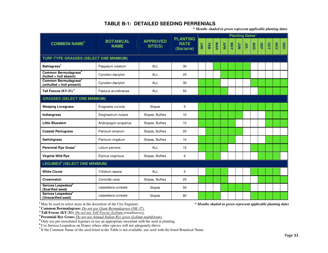### **TABLE B-1: DETAILED SEEDING PERRENIALS**

*\* Months shaded in green represent applicable planting dates* 

|                                                               |                                 |                            |                                              |     |   |     |     |            |                | <b>Planting Dates*</b> |     |            |     |            |     |
|---------------------------------------------------------------|---------------------------------|----------------------------|----------------------------------------------|-----|---|-----|-----|------------|----------------|------------------------|-----|------------|-----|------------|-----|
| <b>COMMON NAME<sup>7</sup></b>                                | <b>BOTANICAL</b><br><b>NAME</b> | <b>APPROVED</b><br>SITE(S) | <b>PLANTING</b><br><b>RATE</b><br>(Ibs/acre) | NVC | 品 | MAR | APR | <b>NAY</b> | $rac{c}{\sum}$ | TNC                    | AUG | <b>SEP</b> | OCT | <b>NOW</b> | DEC |
| <b>TURF-TYPE GRASSES (SELECT ONE MINIMUM)</b>                 |                                 |                            |                                              |     |   |     |     |            |                |                        |     |            |     |            |     |
| Bahiagrass <sup>1</sup>                                       | Paspalum notatum                | <b>ALL</b>                 | 30                                           |     |   |     |     |            |                |                        |     |            |     |            |     |
| Common Bermudagrass <sup>2</sup><br>(hulled = hull absent)    | Cynodon dactylon                | <b>ALL</b>                 | 25                                           |     |   |     |     |            |                |                        |     |            |     |            |     |
| Common Bermudagrass <sup>2</sup><br>(unhulled = hull present) | Cynodon dactylon                | <b>ALL</b>                 | 30                                           |     |   |     |     |            |                |                        |     |            |     |            |     |
| Tall Fescue (KY-31) <sup>3</sup>                              | Festuca arundinacea             | <b>ALL</b>                 | 50                                           |     |   |     |     |            |                |                        |     |            |     |            |     |
| <b>GRASSES (SELECT ONE MINIMUM)</b>                           |                                 |                            |                                              |     |   |     |     |            |                |                        |     |            |     |            |     |
| <b>Weeping Lovegrass</b>                                      | Erograstis curvula              | Slopes                     | 5                                            |     |   |     |     |            |                |                        |     |            |     |            |     |
| Indiangrass                                                   | Sorghastrum nutans              | Slopes, Buffers            | 10                                           |     |   |     |     |            |                |                        |     |            |     |            |     |
| <b>Little Bluestem</b>                                        | Andropogon scoparius            | Slopes, Buffers            | 10                                           |     |   |     |     |            |                |                        |     |            |     |            |     |
| <b>Coastal Panicgrass</b>                                     | Panicum amarum                  | Slopes, Buffers            | 20                                           |     |   |     |     |            |                |                        |     |            |     |            |     |
| Switchgrass                                                   | Panicum virgatum                | Slopes, Buffers            | 10                                           |     |   |     |     |            |                |                        |     |            |     |            |     |
| Perennial Rye Grass <sup>4</sup>                              | Lolium perrene                  | <b>ALL</b>                 | 15                                           |     |   |     |     |            |                |                        |     |            |     |            |     |
| Virginia Wild Rye                                             | Elymus virginicus               | Slopes, Buffers            | 6                                            |     |   |     |     |            |                |                        |     |            |     |            |     |
| <b>LEGUMES<sup>5</sup> (SELECT ONE MINIMUM)</b>               |                                 |                            |                                              |     |   |     |     |            |                |                        |     |            |     |            |     |
| <b>White Clover</b>                                           | Trifolium repens                | <b>ALL</b>                 | 5                                            |     |   |     |     |            |                |                        |     |            |     |            |     |
| Crownvetch                                                    | Coronilla varia                 | Slopes, Buffers            | 25                                           |     |   |     |     |            |                |                        |     |            |     |            |     |
| Sericea Lespedeza <sup>6</sup><br>(Scarified seed)            | Lespedeza cuneata               | Slopes                     | 50                                           |     |   |     |     |            |                |                        |     |            |     |            |     |
| Sericea Lespedeza <sup>6</sup><br>(Unscarified seed)          | Lespedeza cuneata               | Slopes                     | 80                                           |     |   |     |     |            |                |                        |     |            |     |            |     |

**<sup>1</sup>**May be used in select areas at the discretion of the City Engineer.

*\* Months shaded in green represent applicable planting dates* 

<sup>2</sup> Common Bermudagrass: *Do not use Giant Bermudagrass (NK-37)*.<br><sup>3</sup> Tall Fescue (KY-31): *Do not use Tall Fescue (Lolium arundinacea)*.<br><sup>5</sup> Only use pre-inoculated legumes or use an appropriate inoculant with the seed a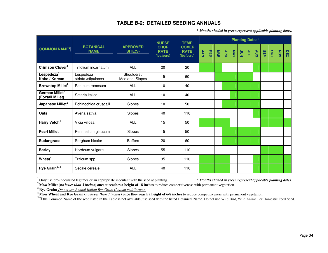### **TABLE B-2: DETAILED SEEDING ANNUALS**

*\* Months shaded in green represent applicable planting dates.*

|                                                |                                  |                                | <b>NURSE</b>                             | <b>TEMP</b>                               |            |            |            |            |            |                  | <b>Planting Dates*</b> |            |            |     |     |     |
|------------------------------------------------|----------------------------------|--------------------------------|------------------------------------------|-------------------------------------------|------------|------------|------------|------------|------------|------------------|------------------------|------------|------------|-----|-----|-----|
| <b>COMMON NAME<sup>5</sup></b>                 | <b>BOTANICAL</b><br><b>NAME</b>  | <b>APPROVED</b><br>SITE(S)     | <b>CROP</b><br><b>RATE</b><br>(Ibs/acre) | <b>COVER</b><br><b>RATE</b><br>(Ibs/acre) | <b>NVC</b> | <b>HEB</b> | <b>MAR</b> | <b>APR</b> | <b>NAY</b> | $\sum_{i=1}^{n}$ | $rac{c}{\sqrt{2}}$     | <b>AUG</b> | <b>SEP</b> | OCT | NOV | DEC |
| Crimson Clover <sup>1</sup>                    | Trifolium incarnatum             | ALL                            | 20                                       | 20                                        |            |            |            |            |            |                  |                        |            |            |     |     |     |
| Lespedeza <sup>1</sup><br>Kobe / Korean        | Lespedeza<br>striata /stipulacea | Shoulders /<br>Medians, Slopes | 15                                       | 60                                        |            |            |            |            |            |                  |                        |            |            |     |     |     |
| <b>Browntop Millet<sup>2</sup></b>             | Panicum ramosum                  | <b>ALL</b>                     | 10                                       | 40                                        |            |            |            |            |            |                  |                        |            |            |     |     |     |
| German Millet <sup>2</sup><br>(Foxtail Millet) | Setaria italica                  | ALL                            | 10                                       | 40                                        |            |            |            |            |            |                  |                        |            |            |     |     |     |
| Japanese Millet <sup>2</sup>                   | Echinochloa crusgalli            | Slopes                         | 10                                       | 50                                        |            |            |            |            |            |                  |                        |            |            |     |     |     |
| Oats                                           | Avena sativa                     | Slopes                         | 40                                       | 110                                       |            |            |            |            |            |                  |                        |            |            |     |     |     |
| Hairy Vetch <sup>1</sup>                       | Vicia villosa                    | <b>ALL</b>                     | 15                                       | 50                                        |            |            |            |            |            |                  |                        |            |            |     |     |     |
| <b>Pearl Millet</b>                            | Pennisetum glaucum               | Slopes                         | 15                                       | 50                                        |            |            |            |            |            |                  |                        |            |            |     |     |     |
| <b>Sudangrass</b>                              | Sorghum bicolor                  | <b>Buffers</b>                 | 20                                       | 60                                        |            |            |            |            |            |                  |                        |            |            |     |     |     |
| <b>Barley</b>                                  | Hordeum vulgare                  | Slopes                         | 55                                       | 110                                       |            |            |            |            |            |                  |                        |            |            |     |     |     |
| Wheat <sup>4</sup>                             | Triticum spp.                    | Slopes                         | 35                                       | 110                                       |            |            |            |            |            |                  |                        |            |            |     |     |     |
| Rye Grain <sup>3, 4</sup>                      | Secale cereale                   | <b>ALL</b>                     | 40                                       | 110                                       |            |            |            |            |            |                  |                        |            |            |     |     |     |

**1** Only use pre-inoculated legumes or an appropriate inoculant with the seed at planting.

*\* Months shaded in green represent applicable planting dates.* 

<sup>2</sup> Mow Millet (*no lower than 3 inches*) once it reaches a height of 18 inches to reduce competitiveness with permanent vegetation.<br><sup>3</sup> Rye Grain: *Do not use Annual Italian Rye Grass (Lolium multiforum)*.<br><sup>4</sup> Mow Wheat

<sup>5</sup>If the Common Name of the seed listed in the Table is not available, use seed with the listed Botanical Name. Do not use Wild Bird, Wild Animal, or Domestic Feed Seed.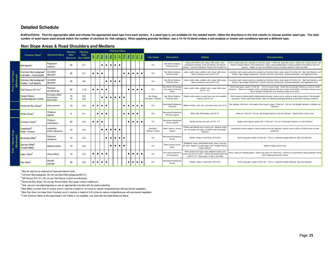#### **Detailed Schedule**

Instructions: Find the appropriate table and choose the appropriate seed type from each section. If a seed type is not available for the needed month, follow the directions in the first column to choose another seed type. number of seed types used should match the number of sections for that category. When applying granular fertilizer, use a 10-10-10 blend unless a soil analysis or known soil conditions warrant a different type.

|                              |                                                               |                                               | Planting           | <b>Planting</b>      |           |            |               |             |                      |           | <b>Planting Dates</b>                                   |           |           |           |                 |                                    |                                                                 |                                                                                                                                                                             |                                                                                                                                                                                                                                                                                                                                       |
|------------------------------|---------------------------------------------------------------|-----------------------------------------------|--------------------|----------------------|-----------|------------|---------------|-------------|----------------------|-----------|---------------------------------------------------------|-----------|-----------|-----------|-----------------|------------------------------------|-----------------------------------------------------------------|-----------------------------------------------------------------------------------------------------------------------------------------------------------------------------|---------------------------------------------------------------------------------------------------------------------------------------------------------------------------------------------------------------------------------------------------------------------------------------------------------------------------------------|
|                              | <b>Common Name</b>                                            | <b>Botanical Name</b>                         | Rate<br>(lbs/acre) | Rate<br>(lbs/1000sf) |           | Jan<br>Feb | $\frac{1}{2}$ |             | $\frac{a}{\sqrt{2}}$ |           | $\frac{1}{2}$ $\frac{1}{2}$ $\frac{1}{2}$ $\frac{1}{8}$ |           |           | 8         | $\frac{3}{2}$ 8 | <b>Use Areas</b>                   | <b>Description</b>                                              | <b>Habitat</b>                                                                                                                                                              | <b>Characteristics</b>                                                                                                                                                                                                                                                                                                                |
|                              | Bahiagrass <sup>1</sup>                                       | Paspalum<br>notatum                           | 30                 | 0.7                  |           |            | $\bullet$     | $\bullet$ 1 | $\bullet$ 1          | $\bullet$ | $\bullet$                                               |           |           |           |                 | <b>ALL</b>                         | Non Native Creeping<br>Perennial Grass                          | Sandy and infertile soils, heavy traffic areas, water<br>conveyance channels. Acid soil tolerant, not high pH<br>olerant. Listed as Significant Threat on SC Invasive list. | Warm season perennial, spreads by rhizomes, grows 1-2 feet tall, deep root system. Sandy soils, shade tolerant, salt<br>tolerant, drought tolerant. Low maintenance, tough, coarse bladed grass surviving conditions that destroy most turf<br>grasses. Adapts to most soil conditions and is extremely tolerant to wear and traffic. |
|                              | Common Bermudagrass <sup>e</sup><br>(unhulled = hull present) | Cynodon<br>dactylon                           | 30                 | 0.7                  | $\bullet$ | $\bullet$  |               |             |                      |           |                                                         | $\bullet$ | $\bullet$ | $\bullet$ |                 | ALL                                | Non Native Creeping<br>Perennial Grass                          | Lawns, public areas, problem soils, heavy traffic areas<br>water conveyance area, pH 5.0 -8.0                                                                               | ong-lived, warm season perennial, spreads by rhizomes/stolons seed, grows 4-6 inches tall. High heat tolerance, salt<br>tolerant, high nitrogen requirement. Used for channels, pond banks, grassed waterways, and vegetated flumes.                                                                                                  |
| א י דערד-ז<br>(Minimum)<br>È | Common Bermudagrass <sup>®</sup><br>(hulled = hull absent)    | Cynodon<br>dactylon                           | 25                 | 0.6                  |           |            |               |             | $\bullet$            | $\bullet$ |                                                         |           |           |           |                 | ALL                                | Non Native Creeping<br>Perennial Grass                          | Lawns, public areas, problem soils, heavy traffic areas<br>water conveyance area, pH 5.0 -8.0                                                                               | ong-lived, warm season perennial, spreads by rhizomes/stolons seed, grows 4-6 inches tall. High heat tolerance, salt<br>tolerant, high nitrogen requirement. Used for channels, pond banks, grassed waterways, and vegetated flumes.                                                                                                  |
| 은                            | Tall Fescue (KY-31) <sup>®</sup>                              | Festuca<br>arundinacea                        | 50                 | 1.15                 | $\bullet$ | $\bullet$  | $\bullet$     |             |                      |           |                                                         |           | $\bullet$ | $\bullet$ |                 | ALL                                | <b>Von Native Tall Growing</b><br>Cool-season Perennia<br>Grass | Lawns, public areas, problem soils, heavy traffic areas<br>pH 5.5 - 8.0.                                                                                                    | Bunch-type grass, grows 2-4 feet tall. Full sun to part shade. Good heat and drought tolerance as well as shade<br>tolerance. Tolerant to marginal, acidic, and poorly drained soils and in areas of low fertility, and where stresses occur<br>due to drought. Durable due to an extensive, deep root system.                        |
|                              | Carpet Grass /<br>Centipedegrass Combo                        | Axonopus affinis<br>Eremochloa<br>ophiuroides | 15<br>10           | 0.3<br>0.2           |           |            |               |             | $\bullet$            | $\bullet$ | $\bullet$                                               | $\bullet$ |           |           |                 | Non Slopes.<br>Shoulders / Medians | Non Native Creeping<br>Perennial Grass                          | Slightly acidic sandy or sandy-loam soils with available<br>moisture, pH 5.0-6.0                                                                                            | Warm-season shallow-rooted creeping perennial grass, dense sod by rooting at nodes along stolons. Poor drought<br>resistance. Thrives under lower fertility. Does not withstand prolonged flooding or permanent swampy conditions.                                                                                                    |
|                              | Perennial Rye Grass <sup>®</sup>                              | Lolium perrene                                | 15                 | 0.3                  | $\bullet$ | $\bullet$  |               |             |                      |           |                                                         | $\bullet$ | $\bullet$ | $\bullet$ |                 | ALL                                | laturalized Herbaceous<br>Perennial                             | Medium fertility, acid, clay, and loamy soils, pH 5.2-7.5                                                                                                                   | Fast growing, short term, cool season bunch grass, grows 1-2 feet tall. Full sun, low drought tolerance, moderate salt<br>tolerance.                                                                                                                                                                                                  |
|                              | White Clover <sup>t</sup>                                     | Trifolium<br>repens                           | 5                  | 0.1                  |           | $\bullet$  |               |             |                      |           |                                                         | $\bullet$ | $\bullet$ | $\bullet$ |                 | ALL                                | <b>Jaturalized Herbaceous</b><br>Perrenial Legume               | Moist soils, field borders, pH 6.0-7.5.                                                                                                                                     | Grows to 1 foot tall. Full sun, low drought tolerance, low salt tolerance. Good erosion control cover.                                                                                                                                                                                                                                |
|                              | Crimson Clover`                                               | Trfolium<br>incarnatum                        | 20                 | 0.5                  | $\bullet$ | $\bullet$  |               |             |                      |           |                                                         |           | $\bullet$ | $\bullet$ |                 | ALL                                | <b>Vaturalized Herbaceous</b><br>Annual Legume                  | Sandy and clay like soils, pH 5.5 - 7.5.                                                                                                                                    | Upright winter legume, grows from 1-3 feet tall. Full sun, low drought tolerance, no salt tolerance.                                                                                                                                                                                                                                  |
|                              | Lespedeza <sup>3</sup><br>Kobe / Korean                       | Lespedeza<br>striata /stipulacea              | 15                 | 0.3                  |           |            | $\bullet$     | ' ●         | $\bullet$ 1          | $\bullet$ | $\bullet$                                               |           |           |           |                 | Shoulders<br>Medians, Slopes       | Warm Season Annua<br>Legume                                     | Prefers well-drained clay or loamy soil. Tolerates acidic<br>soil, and poorer soil types. Excellent heat and drought<br>tolerance                                           | Low-growing summer legume. Used as pasture and hay legumes, erosion control, and on a limited scale for seed<br>production.                                                                                                                                                                                                           |
| (Minimum)                    | Browntop Millet <sup>®</sup>                                  | Panicum<br>ramosum                            | 10                 | 0.2                  |           |            |               | $\bullet$   | $\bullet$            | $\bullet$ | $\bullet$                                               | $\bullet$ |           |           |                 | ALL                                | <b>Jaturalized Herbaceous</b><br>Annual                         | Infertile, sandy, or acid soils, pH 5.2-8.0                                                                                                                                 | Bunch type grain, grows 2-5 feet tall. Full sun, moderate drought tolerance, high salt tolerance.                                                                                                                                                                                                                                     |
|                              | German Millet <sup>6</sup><br>'Foxtail Millet)                | Setaria italica                               | 10                 | 0.2                  |           |            |               |             | $\bullet$ 1          | $\bullet$ | $\bullet$                                               | $\bullet$ |           |           |                 | ALL                                | Warm season annua<br>grass                                      | Suitable for moist, well-drained sandy, loamy, and clay<br>like soils. Adapts to a wide range of pH. Drought tolerant<br>shade intolerant.                                  | Medium height around 4 feet                                                                                                                                                                                                                                                                                                           |
|                              | Hairy Vetch <sup>3</sup>                                      | Vicia villosa                                 | 15                 | 0.3                  | $\bullet$ | $\bullet$  | $\bullet$     |             |                      |           |                                                         |           | $\bullet$ |           |                 | ALL                                | Cool season biennial or<br>annual legume                        | Wide range of soil types, best adapted to loamy and<br>sandy soils, pH 5.0 to 8.2. Prefers well-drained soils with<br>a pH 6.0-7.0. Does poorly in clay or wet fields       | Viney, trailing or climbing growth. Stems may grow 2 to 5 feet long. Used for soil improvement along roadsides and for<br>bank stabilization/erosion control                                                                                                                                                                          |
|                              | <b>Rye Grain</b>                                              | Secale<br>cereale                             | 40                 | 0.9                  | $\bullet$ | $\bullet$  | $\bullet$     |             |                      |           |                                                         |           | $\bullet$ | $\bullet$ |                 | ALL                                | Naturalized Herbaceous<br>Annual                                | Infertile, sandy, or acid soils, pH 5.2-8.0                                                                                                                                 | Bunch type grain, grows 2-5 feet tall. Full sun, moderate drought tolerance, high salt tolerance.                                                                                                                                                                                                                                     |

#### **Non Slope Areas & Road Shoulders and Medians**

 $1$  May be used as an optional turf-type permanent cover.

<sup>2</sup> Common Bermudagrass: Do not use Giant Bermudagrass(NK-37).

<sup>3</sup> Tall Fescue (KY-31): Do not use Tall Fescue (Lolium arundinacea).

<sup>4</sup> Perennial Rye Grass: Do not use Annual Italian Rye grass (Lolium multiforum).

 $<sup>5</sup>$  Only use pre-inoculated legumes or use an appropriate inoculant with the seed at planting.</sup>

<sup>6</sup> Mow Millet (no lower than 3 inches) once it reaches a height of 18 inches to reduce competitiveness with permanent vegetation.

<sup>7</sup> Mow Rye Grain (no lower than 3 inches) once it reaches a height of 6-8 inches to reduce competitiveness with permanent vegetation.

<sup>8</sup> If the Common Name of the seed listed in the Tables is not available, use seed with the listed Botanical Name.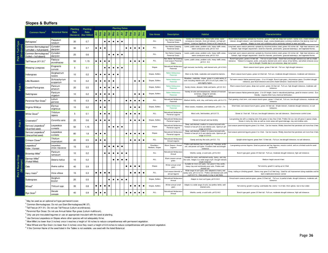#### **Slopes & Buffers**

|                            |                                                               |                                  | <b>Planting</b> | <b>Planting</b>                |           |           |           |           |           |           | <b>Planting Dates</b>  |                        |           |           |                                |                                                           |                                                                                                                                                                           |                                                                                                                                                                                                                                                                                                                                      |
|----------------------------|---------------------------------------------------------------|----------------------------------|-----------------|--------------------------------|-----------|-----------|-----------|-----------|-----------|-----------|------------------------|------------------------|-----------|-----------|--------------------------------|-----------------------------------------------------------|---------------------------------------------------------------------------------------------------------------------------------------------------------------------------|--------------------------------------------------------------------------------------------------------------------------------------------------------------------------------------------------------------------------------------------------------------------------------------------------------------------------------------|
|                            | <b>Common Name</b>                                            | <b>Botanical Name</b>            | Rate            | Rate<br>(Ibs/acre) (Ibs/1000sf |           |           |           |           |           |           |                        |                        |           |           | <b>Use Areas</b>               | <b>Description</b>                                        | <b>Habitat</b>                                                                                                                                                            | <b>Characteristics</b>                                                                                                                                                                                                                                                                                                               |
|                            | <b>Bahiagrass</b>                                             | Paspalum<br>notatum              | 30              | 0.7                            |           |           | $\bullet$ | $\bullet$ | $\bullet$ | $\bullet$ | $\bullet$              |                        |           |           | ALL                            | Non Native Creeping<br>Perennial Grass                    | Sandy and infertile soils, heavy traffic areas, water<br>conveyance channels. Acid soil tolerant, not high pH<br>derant. Listed as Significant Threat on SC Invasive list | Warm season perennial, spreads by rhizomes, grows 1-2 feet tall, deep root system. Sandy soils, shade tolerant, salt<br>tolerant, drought tolerant. Low maintenance, tough, coarse bladed grass surviving conditions that destroy most turf<br>grasses. Adapts to most soil conditions and is extremely tolerant to wear and traffic |
|                            | Common Bermudagrass <sup>4</sup><br>(unhulled = hull present) | Cynodon<br>dactylon              | 30              | 0.7                            | $\bullet$ | $\bullet$ | $\bullet$ |           |           |           |                        | $\bullet$<br>$\bullet$ | $\bullet$ | $\bullet$ | ALL                            | Non Native Creeping<br>Perennial Grass                    | Lawns, public areas, problem soils, heavy traffic areas,<br>water conveyance area, pH 5.0 -8.0                                                                            | ong-lived, warm season perennial, spreads by rhizomes/stolons seed, grows 4-6 inches tall. High heat tolerance, salt<br>tolerant, high nitrogen requirement. Used for channels, pond banks, grassed waterways, and vegetated flumes.                                                                                                 |
| k 1 Turf-Typ:<br>(Minimum) | Common Bermudagrass <sup>5</sup><br>(hulled = hull absent)    | Cynodon<br>dactylon              | 25              | 0.6                            |           |           |           | $\bullet$ | $\bullet$ | $\bullet$ | $\bullet$              |                        |           |           | ALL                            | Non Native Creeping<br>Perennial Grass                    | Lawns, public areas, problem soils, heavy traffic areas,<br>water conveyance area, pH 5.0 -8.0                                                                            | ong-lived, warm season perennial, spreads by rhizomes/stolons seed, grows 4-6 inches tall. High heat tolerance, salt<br>tolerant, high nitrogen requirement. Used for channels, pond banks, grassed waterways, and vegetated flumes.                                                                                                 |
| <u>nic</u>                 | Tall Fescue (KY-31)                                           | Festuca<br>arundinacea           | 50              | 1.15                           | $\bullet$ | $\bullet$ | $\bullet$ |           |           |           |                        | $\bullet$              | $\bullet$ |           | ALL                            | Von Native Tall Growing<br>Cool-season Perennial<br>Grass | Lawns, public areas, problem soils, heavy traffic areas,<br>pH 5.5 - 8.0.                                                                                                 | Bunch-type grass, grows 2-4 feet tall. Full sun to part shade. Good heat and drought tolerance as well as shade<br>tolerance. Tolerant to marginal, acidic, and poorly drained soils and in areas of low fertility, and where stresses occur<br>due to drought. Durable due to an extensive, deep root system.                       |
|                            | Weeping Lovegrass                                             | Erograstis<br>curvula            | 5               | 0.1                            |           |           | $\bullet$ | $\bullet$ |           | $\bullet$ |                        |                        |           |           | Slopes                         | <b>Vaturalized Herbaceous</b><br>Perennial                | Light textured, low fertility, well drained soils, pH 4.5-8.0.                                                                                                            | Warm season bunch grass, grows 3 feet tall. Full sun, high drought tolerance.                                                                                                                                                                                                                                                        |
|                            | Indiangrass                                                   | Sorghastrum<br>nutans            | 10              | 0.2                            | $\bullet$ | $\bullet$ | $\bullet$ |           |           |           |                        |                        |           |           | Slopes, Buffers                | <b>Native Herbaceous</b><br>Perennial                     | Most or dry fields, roadsides and serpentine barrens.                                                                                                                     | Warm season bunch grass, grows to 6 feet tall. Full sun, moderate drought tolerance, moderate salt tolerance.                                                                                                                                                                                                                        |
|                            | Little Bluestem                                               | Schizachyrium<br>scoparium       | 10              | 0.2                            | $\bullet$ | $\bullet$ | $\bullet$ |           |           |           |                        |                        | $\bullet$ | $\bullet$ | Slopes, Buffers                | <b>Native Herbaceous</b><br>Perennial                     | Meadows, roadsides, slopes, grows in a wide variety of<br>soils including infertile soils. pH 5.5 to 8.5 pH, refers 7.0<br>and slightly higher.                           | Tall warm-season Native perennial grass - 2 to 4 ft height. Bunch type grass, rhizomatous grass. Excellent drought<br>tolerance, poor flood tolerance and some shade tolerance. Good erosion control.                                                                                                                                |
| Pick                       | <b>Coastal Panicgrass</b>                                     | Panicum<br>amarum                | 20              | 0.5                            |           | $\bullet$ | $\bullet$ |           |           |           |                        |                        |           |           | Slopes, Buffers                | <b>Native Herbaceous</b><br>Perennial                     | Sandy shores, alluviam, fields and banks, pH 5.0 -8.0                                                                                                                     | Warm season bunch grass, deep root system, grows 3-6 feet tall. Full sun, high drought tolerance, moderate salt<br>tolerance.                                                                                                                                                                                                        |
|                            | Switchgrass                                                   | Panicum<br>virgatum              | 10              | 0.2                            | $\bullet$ | $\bullet$ | $\bullet$ |           |           |           |                        |                        | $\bullet$ |           | Slopes, Buffers                | <b>Native Herbaceous</b><br>Perennial                     | Variety of soils and temperatures, tolerant of moisture<br>extremes, refuge for animals.<br>Soil pH 5.0 or above.                                                         | Tall warm-season Native perennial grass - 2 to 6 ft height. Used in naturalized plantings, great for erosion control. Eco-<br>friendly - requires little if any chemical fertilization.                                                                                                                                              |
|                            | Perennial Rye Grass®                                          | Lolium<br>perrene                | 15              | 0.3                            | $\bullet$ | $\bullet$ | $\bullet$ |           |           |           |                        | $\bullet$<br>$\bullet$ | $\bullet$ |           | ALL                            | laturalized Herbaceous<br>Perennial                       | Medium fertility, acid, clay, and loamy soils, pH 5.2-7.5                                                                                                                 | Fast growing, short term, cool season bunch grass, grows 1-2 feet tall. Full sun, low drought tolerance, moderate salt                                                                                                                                                                                                               |
|                            | Virginia Wildrye                                              | Elymus<br>virginicus             | 10              | 0.2                            |           | $\bullet$ | $\bullet$ |           |           |           |                        | $\bullet$              | $\bullet$ |           | Slopes, Buffers                | <b>Native Herbaceous</b><br>Perennial                     | Moist woods, meadows, and riverbanks, pH 5.0 - 7.4                                                                                                                        | Short-lived, cool season bunch grass, grows 3-6 feet tall. Shade tolerant, moderate drought tolerance, no salt<br>tolerance                                                                                                                                                                                                          |
|                            | White Clover <sup>5</sup>                                     | Trifolium<br>repens              | 5               | 0.1                            |           | $\bullet$ | $\bullet$ |           |           |           |                        | $\bullet$<br>$\bullet$ | $\bullet$ |           | ALL                            | <b>Vaturalized Herbaceous</b><br>Perrenial Legume         | Moist soils, field borders, pH 6.0-7.5.                                                                                                                                   | Grows to 1 foot tall. Full sun, low drought tolerance, low salt tolerance. Good erosion control cover.                                                                                                                                                                                                                               |
|                            | Crownvetch                                                    | Coronilla varia                  | 25              | 0.6                            | $\bullet$ | $\bullet$ | $\bullet$ |           |           |           |                        | $\bullet$              | $\bullet$ |           | Slopes, Buffers                | <b>Vaturalized Herbaceous</b><br>Perrenial Legume         | Tolerant of low pH and low fertility                                                                                                                                      | Low-growing vine with a creeping stem that grows to less than 2 feet. Prefers full sun, but will grow in sparse shade.<br>Grows in rocky dry sites as well as moist areas with good drainage, clay and shallow soils.                                                                                                                |
| Pick                       | Sericea Lespedeza<br>(Scarified seed)                         | Lespedeza<br>cuneata             | 50              | 1.15                           |           |           |           | $\bullet$ | $\bullet$ | $\bullet$ | $\bullet$              |                        |           |           | Slopes                         | <b>Vaturalized Herbaceous</b><br>Perrenial Legume         | Deep, well-drained, medium to coarse textured soils.<br>Tolerant of low pH (4.5) and infertile soils. Optimum pH<br>range is 6.0-6.5.                                     | ool-season perennial legume grows 2 to 4 feet. Can be invasive. Widely branched that penetrate soil more than 3 feet.                                                                                                                                                                                                                |
|                            | Sericea Lespedeza<br>(Unscarified seed)                       | Lespedeza<br>cuneata             | 80              | 1.8                            | $\bullet$ | $\bullet$ | $\bullet$ |           |           |           |                        | $\bullet$<br>$\bullet$ | $\bullet$ |           | Slopes                         | laturalized Herbaceous<br>Perrenial Legume                | Deep, well-drained, medium to coarse textured soils.<br>Tolerant of low pH (4.5) and infertile soils. Optimum pH<br>range is 6.0-6.5.                                     | lool-season perennial legume grows 2 to 4 feet. Can be invasive. Widely branched that penetrate soil more than 3 feet.                                                                                                                                                                                                               |
|                            | Crimson Clover <sup>®</sup>                                   | Trfolium<br>incarnatum           | 20              | 0.5                            | $\bullet$ | $\bullet$ | $\bullet$ |           |           |           |                        | $\bullet$              | $\bullet$ | $\bullet$ | ALL                            | laturalized Herbaceous<br>Annual Legume                   | Sandy and clay like soils, pH 5.5 - 7.5.                                                                                                                                  | Upright winter legume, grows from 1-3 feet tall. Full sun, low drought tolerance, no salt tolerance.                                                                                                                                                                                                                                 |
|                            | Lespedeza<br>Kobe / Korean                                    | Lespedeza<br>striata /stipulacea | 15              | 0.3                            |           |           | $\bullet$ |           | $\bullet$ | $\bullet$ | $\bullet$              |                        |           |           | Shoulders /<br>Medians, Slopes | Warm Season Annual<br>Legume                              | Prefers well-drained clay or loamy soil. Tolerates acidic<br>soil, and poorer soil types. Excellent heat and drought<br>tolerance                                         | Low-growing summer legume. Used as pasture and hay legumes, erosion control, and on a limited scale for seed<br>production                                                                                                                                                                                                           |
|                            | Browntop Millet                                               | Panicum<br>ramosum               | 10              | 0.2                            |           |           | $\bullet$ |           |           | $\bullet$ | $\bullet$<br>$\bullet$ |                        |           |           | ALL                            | Naturalized Herbaceous<br>Annual                          | Infertile, sandy, or acid soils, pH 5.2-8.0                                                                                                                               | Bunch type grain, grows 2-5 feet tall. Full sun, moderate drought tolerance, high salt tolerance.                                                                                                                                                                                                                                    |
|                            | German Millet'<br>(Foxtail Millet)                            | Setaria italica                  | 10              | 0.2                            |           |           |           |           |           | $\bullet$ | $\bullet$<br>$\bullet$ |                        |           |           | <b>ALL</b>                     | Warm season annual<br>grass                               | Suitable for moist, well-drained sandy, loamy, and clay<br>like soils. Adapts to a wide range of pH. Drought tolerant<br>shade intolerant                                 | Medium height around 4 feet                                                                                                                                                                                                                                                                                                          |
| k 2 Nurse Cr<br>(Minimum)  | Oats                                                          | Avena sativa                     | 40              | 0.9                            |           |           |           |           |           |           |                        | $\bullet$<br>$\bullet$ | $\bullet$ |           | Slopes                         | Winter annual small<br>grain                              | Suitable for most soil types. Can grow In Very acidic,<br>heavy clay and nutritionally poor soils. Prefers well-<br>drained soil                                          | Tall stemmy growth in spring up to 3 feet                                                                                                                                                                                                                                                                                            |
| ×<br>₫                     | Hairy Vetch <sup>3</sup>                                      | Vicia villosa                    | 15              | 0.3                            | $\bullet$ | $\bullet$ | $\bullet$ |           |           |           |                        | $\bullet$              | $\bullet$ |           | <b>ALL</b>                     | Cool season biennial o<br>annual legume                   | Wide range of soil types, best adapted to loamy and<br>andy soils, pH 5.0 to 8.2. Prefers well-drained soils with<br>a pH 6.0-7.0. Does poorly in clay or wet fields      | Viney, trailing or climbing growth. Stems may grow 2 to 5 feet long. Used for soil improvement along roadsides and for<br>bank stabilization/erosion control                                                                                                                                                                         |
|                            | Sudangrass                                                    | Sorghum<br>bicolor               | 20              | 0.5                            |           |           |           | ×         |           | $\bullet$ | $\bullet$              | $\bullet$              |           |           | Slopes, Buffers                | laturalized Herbaceous<br>Annual                          | Adapts to most soil types, pH 5.5-8.0                                                                                                                                     | Annual warm season pasture grass, grows 3-5 feet tall. Full sun, to partial shade, drought tolerance, moderate salt<br>tolerance.                                                                                                                                                                                                    |
|                            | Wheat                                                         | Triticum spp.                    | 35              | 0.8                            | $\bullet$ | $\bullet$ | $\bullet$ |           |           |           |                        | $\bullet$              | $\bullet$ |           | Slopes, Buffers                | Winter annual small<br>grain                              | Adapts to a wide range of soils, but prefers fertile, well-<br>drained soils                                                                                              | Tall stemmy growth in spring. Leaf blades flat, stems 1 to 4 feet, thick spikes, two to four sided.                                                                                                                                                                                                                                  |
|                            | Rye Grain <sup>8</sup>                                        | Secale<br>cereale                | 40              | 0.9                            | $\bullet$ | $\bullet$ |           |           |           |           |                        | $\bullet$<br>$\bullet$ | $\bullet$ |           | <b>ALL</b>                     | <b>Vaturalized Herbaceous</b><br>Annual                   | Infertile, sandy, or acid soils, pH 5.2-8.0                                                                                                                               | Bunch type grain, grows 2-5 feet tall. Full sun, moderate drought tolerance, high salt tolerance.                                                                                                                                                                                                                                    |

 $<sup>1</sup>$  May be used as an optional turf-type permanent cover.</sup>

<sup>2</sup> Common Bermudagrass: Do not use Giant Bermudagrass(NK-37).

<sup>3</sup> Tall Fescue (KY-31): Do not use Tall Fescue (Lolium arundinacea).

<sup>4</sup> Perennial Rye Grass: Do not use Annual Italian Rye grass (Lolium multiforum).

 $5$  Only use pre-inoculated legumes or use an appropriate inoculant with the seed at planting.

 $6$  Use Sericea Lespedeza on Slopes where other species will not adequately thrive.

 $^7$  Mow Millet (no lower than 3 inches) once it reaches a height of 18 inches to reduce competitiveness with permanent vegetation.

<sup>8</sup> Mow Wheat and Rye Grain (no lower than 3 inches) once they reach a height of 6-8 inches to reduce competitiveness with permanent vegetation.

 $9$  If the Common Name of the seed listed in the Tables is not available, use seed with the listed Botanical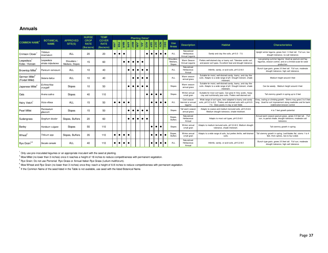### **Annuals**

|                                                |                                  |                                | <b>NURSE</b>                             | <b>TEMP</b>                               |           |           |            |                          |           | <b>Planting Dates*</b> |           |               |           |                                           |                        |                                 |                                             |                                                                                                                                                                        |                                                                                                                                                                 |
|------------------------------------------------|----------------------------------|--------------------------------|------------------------------------------|-------------------------------------------|-----------|-----------|------------|--------------------------|-----------|------------------------|-----------|---------------|-----------|-------------------------------------------|------------------------|---------------------------------|---------------------------------------------|------------------------------------------------------------------------------------------------------------------------------------------------------------------------|-----------------------------------------------------------------------------------------------------------------------------------------------------------------|
| <b>COMMON NAME</b>                             | <b>BOTANICAL</b><br><b>NAME</b>  | <b>APPROVED</b><br>SITE(S)     | <b>CROP</b><br><b>RATE</b><br>(lbs/acre) | <b>COVER</b><br><b>RATE</b><br>(lbs/acre) | Σ         | 田         | <b>MAR</b> | <b>JUN</b><br><b>KAN</b> |           |                        | 흼         | $\frac{8}{5}$ |           | $\frac{1}{2}$ $\frac{1}{2}$ $\frac{1}{2}$ |                        | <b>Use</b><br><b>Areas</b>      | <b>Description</b>                          | <b>Habitat</b>                                                                                                                                                         | <b>Characteristics</b>                                                                                                                                          |
| <b>Crimson Clover</b>                          | Trifolium<br>incarnatum          | <b>ALL</b>                     | 20                                       | 20                                        | $\bullet$ | $\bullet$ |            |                          |           |                        |           |               |           | $\bullet$                                 | $\bullet$<br>$\bullet$ | ALL                             | Naturalized<br>Herbaceous<br>Annual Legume  | Sandy and clay like soils, pH 5.5 - 7.5.                                                                                                                               | Upright winter legume, grows from 1-3 feet tall. Full sun, low<br>drought tolerance, no salt tolerance.                                                         |
| Lespedeza<br>Kobe / Korean                     | Lespedeza<br>striata /stipulacea | Shoulders /<br>Medians, Slopes | 15                                       | 60                                        |           |           | $\bullet$  |                          | $\bullet$ | $\bullet$              |           |               |           |                                           |                        | Shoulders<br>Medians.<br>Slopes | Warm Season<br>Annual Legume                | Prefers well-drained clay or loamy soil. Tolerates acidic soil.<br>and poorer soil types. Excellent heat and drought tolerance                                         | Low-growing summer legume. Used as pasture and hay<br>lequmes, erosion control, and on a limited scale for seed<br>production.                                  |
| <b>Browntop Millet</b>                         | Panicum ramosum                  | <b>ALL</b>                     | 10                                       | 40                                        |           |           |            | $\bullet$                |           |                        | $\bullet$ |               |           |                                           |                        | ALL                             | Naturalized<br>Herbaceous<br>Annual         | Infertile, sandy, or acid soils, pH 5.2-8.0                                                                                                                            | Bunch type grain, grows 2-5 feet tall. Full sun, moderate<br>drought tolerance, high salt tolerance.                                                            |
| German Millet <sup>2</sup><br>(Foxtail Millet) | Setaria italica                  | <b>ALL</b>                     | 10                                       | 40                                        |           |           |            |                          | $\bullet$ |                        | $\bullet$ |               |           |                                           |                        | <b>ALL</b>                      | Warm season<br>annual grass                 | Suitable for moist, well-drained sandy, loamy, and clay like<br>soils. Adapts to a wide range of pH. Drought tolerant, shade<br>intolerant.                            | Medium height around 4 feet                                                                                                                                     |
| Japanese Millet <sup>2</sup>                   | Echinochloa<br>crusgalli         | Slopes                         | 10                                       | 50                                        |           |           |            | $\bullet$                |           |                        | $\bullet$ |               |           |                                           |                        | Slopes                          | Warm season<br>annual grass                 | Suitable for moist, well-drained sandy, loamy, and clay like<br>soils. Adapts to a wide range of pH. Drought tolerant, shade<br>intolerant.                            | Can be weedy. Medium height around 4 feet                                                                                                                       |
| <b>Oats</b>                                    | Avena sativa                     | Slopes                         | 40                                       | 110                                       |           |           |            |                          |           |                        |           | $\bullet$     | $\bullet$ | $\bullet$<br>$\bullet$                    |                        | Slopes                          | Winter annual<br>small grain                | Suitable for most soil types. Can grow In Very acidic, heavy<br>clay and nutritionally poor soils. Prefers well-drained soil.                                          | Tall stemmy growth in spring up to 3 feet                                                                                                                       |
| Hairy Vetch                                    | Vicia villosa                    | <b>ALL</b>                     | 15                                       | 50                                        | $\bullet$ |           | $\bullet$  |                          |           |                        |           |               | $\bullet$ |                                           | $\bullet$<br>$\bullet$ | ALL                             | Cool season<br>biennial or annual<br>leaume | Wide range of soil types, best adapted to loamy and sandy<br>soils, pH 5.0 to 8.2. Prefers well-drained soils with a pH 6.0-<br>7.0. Does poorly in clay or wet fields | Viney, trailing or climbing growth. Stems may grow 2 to 5 feet<br>long. Used for soil improvement along roadsides and for bank<br>stabilization/erosion control |
| <b>Pearl Millet</b>                            | Pennisetum<br>alaucum            | Slopes                         | 15                                       | 50                                        |           |           |            | $\bullet$                |           | $\bullet$              | $\bullet$ |               |           |                                           |                        | Slopes                          | Tall warm seasor<br>annual grass            | Adapts to coarse and medium textured soils, pH 5.5-6.8.<br>Medium drought tolerance, shade intolerant.                                                                 | 4 to 7 feet growth potential                                                                                                                                    |
| Sudangrass                                     | Sorghum bicolor                  | Slopes, Buffers                | 20                                       | 60                                        |           |           |            | $\bullet$                | $\bullet$ |                        | $\bullet$ | $\bullet$     |           |                                           |                        | Slopes.<br><b>Buffers</b>       | Naturalized<br>Herbaceous<br>Annual         | Adapts to most soil types, pH 5.5-8.0                                                                                                                                  | Annual warm season pasture grass, grows 3-5 feet tall. Full<br>sun, to partial shade, drought tolerance, moderate salt<br>tolerance.                            |
| Barley                                         | Hordeum vulgare                  | Slopes                         | 55                                       | 110                                       |           |           |            |                          |           |                        |           |               |           |                                           |                        | Slopes                          | Winter annual<br>small grain                | Adapts to medium textured soils, pH 5.0-8.5. Medium drought<br>tolerance, shade intolerant                                                                             | Tall stemmy growth in spring                                                                                                                                    |
| <b>Wheat</b> <sup>4</sup>                      | Triticum spp.                    | Slopes, Buffers                | 35                                       | 110                                       | $\bullet$ | $\bullet$ | $\bullet$  | $\bullet$                |           |                        |           |               | $\bullet$ |                                           | $\bullet$<br>$\bullet$ | Slopes.<br><b>Buffers</b>       | Winter annual<br>small grain                | Adapts to a wide range of soils, but prefers fertile, well-drained<br>soils.                                                                                           | Tall stemmy growth in spring. Leaf blades flat, stems 1 to 4<br>feet, thick spikes, two to four sided.                                                          |
| Rye Grain <sup>3,4</sup>                       | Secale cereale                   | <b>ALL</b>                     | 40                                       | 110                                       |           |           | $\bullet$  |                          |           |                        |           |               |           |                                           |                        | ALL                             | Naturalized<br>Herbaceous<br>Annual         | Infertile, sandy, or acid soils, pH 5.2-8.0                                                                                                                            | Bunch type grain, grows 2-5 feet tall. Full sun, moderate<br>drought tolerance, high salt tolerance.                                                            |

 $1$  Only use pre-inoculated legumes or an appropriate inoculant with the seed at planting.

 $^2$  Mow Millet (no lower than 3 inches) once it reaches a height of 18 inches to reduce competitiveness with permanent vegetation.

<sup>3</sup> Rye Grain: Do not use Perrenial Rye Grass or Annual Italian Rye Grass (Lolium multiforum).

<sup>4</sup> Mow Wheat and Rye Grain (no lower than 3 inches) once they reach a height of 6-8 inches to reduce competitiveness with permanent vegetation.

 $<sup>5</sup>$  If the Common Name of the seed listed in the Table is not available, use seed with the listed Botanical Name.</sup>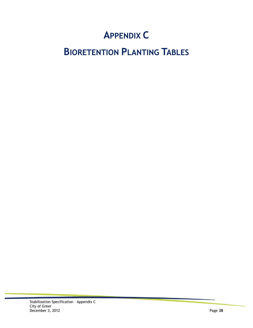# **APPENDIX C**

# **BIORETENTION PLANTING TABLES**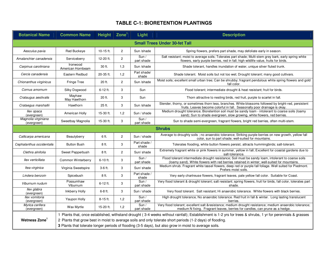# **TABLE C-1: BIORETENTION PLANTINGS**

| <b>Botanical Name</b>              | <b>Common Name</b>            | <b>Height</b> | $\mathsf{Zone}^1$ | Light                 | <b>Description</b>                                                                                                                                                                                                                                                                                                                                                                 |
|------------------------------------|-------------------------------|---------------|-------------------|-----------------------|------------------------------------------------------------------------------------------------------------------------------------------------------------------------------------------------------------------------------------------------------------------------------------------------------------------------------------------------------------------------------------|
|                                    |                               |               |                   |                       | <b>Small Trees Under 30-fet Tall</b>                                                                                                                                                                                                                                                                                                                                               |
| Aesculus pavia                     | <b>Red Buckeve</b>            | 10-15 ft.     | $\overline{2}$    | Sun /shade            | Spring flowers, prefers part shade, may defoliate early in season.                                                                                                                                                                                                                                                                                                                 |
| Amalanchier canadensis             | Serviceberry                  | 12-20 ft.     | $\overline{c}$    | Sun/<br>part shade    | Salt resistant; moist to average soils; Tolerates part shade; Multi-stem grey bark, early spring white<br>flowers, early purple berries, red in fall; high wildlife value, fruits for birds.                                                                                                                                                                                       |
| Carpinus caroliniana               | Ironwood<br>American Hornbeam | 30 ft.        | 1,3               | Sun /shade            | Shade tolerant, handles inundation of water, unique silver fluted trunk.                                                                                                                                                                                                                                                                                                           |
| Cercis canadensis                  | Eastern Redbud                | 20-35 ft.     | 1,2               | Part shade/<br>shade  | Shade tolerant. Moist soils but not too wet; Drought tolerant; many good cultivars.                                                                                                                                                                                                                                                                                                |
| Chionanthus virginicus             | <b>Fringe Tree</b>            | 20 ft.        | 2                 | Sun /shade            | Moist soils; excellent small urban tree; Can be shrubby; fragrant pendulous white spring flowers and gold<br>fall color.                                                                                                                                                                                                                                                           |
| Cornus amomum                      | Silky Dogwood                 | 6-12 ft.      | 3                 | Sun                   | Flood tolerant; intermediate drought & heat resistant; fruit for birds.                                                                                                                                                                                                                                                                                                            |
| Crataugus aestivalis               | Mayhaw<br>May Hawthorn        | 20 ft.        | 3                 | Sun                   | Thorn attractive to nesting birds, red fruit, purple to scarlet in fall.                                                                                                                                                                                                                                                                                                           |
| Crataegus marshallii               | Hawthorn                      | 25 ft.        | 3                 | Sun /shade            | Slender, thorny, or sometimes thorn less, branches. White blossoms followed by bright-red, persistent<br>fruits. Leaves become colorful in fall. Seasonally poor drainage is okay.                                                                                                                                                                                                 |
| llex opaca<br>(evergreen)          | American Holly                | 15-30 ft.     | 1,2               | Sun / shade           | Medium drought tolerance; Bioretention soil must be sandy loam - intolerant to coarse soils (loamy<br>sand); Sun to shade evergreen, slow growing, white flowers, red berries.                                                                                                                                                                                                     |
| Magnolia virginiana<br>(evergreen) | Sweetbay Magnolia             | 15-30 ft.     | 3                 | Sun/<br>part shade    | Sun to shade semi-evergreen, fragrant flowers, bright red berries, often multi-stem.                                                                                                                                                                                                                                                                                               |
|                                    |                               |               |                   |                       | <b>Shrubs</b>                                                                                                                                                                                                                                                                                                                                                                      |
| Callicarpa americana               | Beautyberry                   | 6 ft.         | $\overline{2}$    | Sun / shade           | Average to droughty soils ; no anaerobic tolerance; Striking purple berries on new growth, yellow fall<br>color, sun to part shade; well-suited for mountains.                                                                                                                                                                                                                     |
| Cephalanthus occidentalis          | <b>Button Bush</b>            | 8 ft.         | 3                 | Part shade /<br>shade | Tolerates flooding, white button flowers persist, attracts hummingbirds; salt-tolerant.                                                                                                                                                                                                                                                                                            |
| Clethra alnifolia                  | Sweet Pepperbush              | 8 ft.         | 2                 | Sun/shade             | Extremely fragrant white or pink flowers in summer, yellow in fall; Excellent for coastal gardens due to<br>salt-tolerance.                                                                                                                                                                                                                                                        |
| Ilex verticillata                  | Common Winterberry            | 6-10 ft.      | 3                 | Sun/<br>part shade    | Flood tolerant intermediate drought resistance; Soil must be sandy loam, intolerant to coarse soils<br>(loamy sand). White flowers with red berries retained in winter; well-suited for mountains.                                                                                                                                                                                 |
| Itea virginica                     | Virginia Sweetspire           | 3-6 ft.       | 3                 | Sun/shade             | Medium shrub. Fragrant white tassel flowers, deep red or purple fall foliage. Well suited for Piedmont.<br>Prefers moist soils.                                                                                                                                                                                                                                                    |
| Lindera benzoin                    | Spicebush                     | 8 ft.         | 3                 | Part shade /<br>shade | Very early chartreuse flowers, fragrant leaves, pale yellow fall color. Suitable for Coast.                                                                                                                                                                                                                                                                                        |
| Viburnum nudum                     | Possumhaw<br>Viburnum         | 6-12 ft.      | 3                 | Sun/<br>part shade    | Very flood tolerant & drought tolerant; salt resistant; spring flowers, fruit for birds, fall color, tolerates part<br>shade.                                                                                                                                                                                                                                                      |
| llex glabra<br>(evergreen)         | Inkberry Holly                | 6-8 ft.       | 3                 | Sun / shade           | Very flood tolerant. Salt resistant; Hi anaerobic tolerance. White flowers with black berries.                                                                                                                                                                                                                                                                                     |
| Ilex vomitoria<br>(evergreen)      | Yaupon Holly                  | 8-15 ft.      | 1,2               | Sun/<br>part shade    | High drought tolerance, No anaerobic tolerance. Red fruit in fall & winter. Long lasting translucent<br>berries.                                                                                                                                                                                                                                                                   |
| Myrica cerifera<br>(evergreen)     | Wax Myrtle                    | 15-20 ft.     | 1,2               | Sun/<br>part shade    | Very flood tolerant; excellent salt &resistance medium drought resistance; medium anaerobic tolerance;<br>medium N fixing. Fragrant leaves, berries for candles, can prune as a hedge.                                                                                                                                                                                             |
| Wetness Zone <sup>1</sup>          |                               |               |                   |                       | 1 Plants that, once established, withstand drought (3-4 weeks without rainfall); Establishment is 1-2 yrs for trees & shrubs, 1 yr for perennials & grasses<br>2 Plants that grow best in moist to average soils and only tolerate short periods (1-2 days) of flooding.<br>3 Plants that tolerate longer periods of flooding (3-5 days), but also grow in moist to average soils. |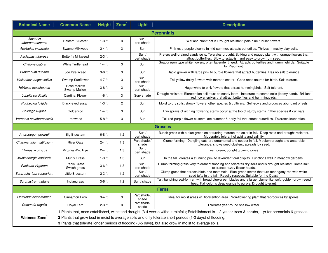| <b>Botanical Name</b>      | <b>Common Name</b>          | Height    | $\mathsf{Zone}^1$ | Light                 | <b>Description</b>                                                                                                                                                            |
|----------------------------|-----------------------------|-----------|-------------------|-----------------------|-------------------------------------------------------------------------------------------------------------------------------------------------------------------------------|
|                            |                             |           |                   |                       | <b>Perennials</b>                                                                                                                                                             |
| Amsonia<br>tabernaemontana | Eastern Bluestar            | $1-3$ ft. | 3                 | Sun/<br>part shade    | Wetland plant that is Drought resistant; pale blue tubular flowers.                                                                                                           |
| Asclepias incarnata        | Swamp Milkweed              | 2-4 ft.   | 3                 | Sun                   | Pink rose-purple blooms in mid-summer, attracts butterflies. Thrives in mucky clay soils.                                                                                     |
| Asclepias tuberosa         | <b>Butterfly Milkweed</b>   | 2-3 ft.   | $\mathbf{1}$      | Sum/<br>part shade    | Prefers well-drained sandy soils. Tolerates drought. Striking and rugged plant with orange flowers that<br>attract butterflies. Slow to establish and easy to grow from seed. |
| Chelone glabra             | <b>White Turtlehead</b>     | $1-4$ ft. | 3                 | Sun                   | Snapdragon type white flowers, often lavender tinged. Attracts butterflies and hummingbirds. Suitable<br>for Piedmont.                                                        |
| Eupatorium dubium          | Joe Pye Weed                | 3-6 ft.   | 3                 | Sun                   | Rapid grower with large pink to purple flowers that attract butterflies. Has no salt tolerance.                                                                               |
| Helianthus angustifolius   | Swamp Sunflower             | 4-7 ft.   | 3                 | Sun/<br>part shade    | Tall yellow daisy flowers with maroon center. Good seed source for birds. Salt-tolerant.                                                                                      |
| Hibiscus moscheutos        | Rose Mallow<br>Swamp Mallow | 3-8 ft.   | 3                 | Sun/<br>part shade    | Huge white to pink flowers that attract hummingbirds. Salt-tolerant.                                                                                                          |
| Lobelia cardinalis         | <b>Cardinal Flower</b>      | $1-6$ ft. | 3                 | Sun/shade             | Drought resistant; Bioretention soil must be sandy loam - intolerant to coarse soils (loamy sand). Brilliant<br>red flower spikes that attract butterflies and hummingbirds.  |
| Rudbeckia fulgida          | Black-eyed susan            | $1-3$ ft. | $\overline{2}$    | Sun                   | Moist to dry soils; showy flowers; other species & cultivars. Self-sows and produces abundant offsets.                                                                        |
| Solidago rugosa            | Goldenrod                   | $1-4$ ft. | 3                 | Sun                   | Thin sprays of arching flowering stems occur at the top of sturdy stems. Other species & cultivars.                                                                           |
| Vernonia noveboracensis    | Ironweed                    | 5-8 ft.   | 3                 | Sun                   | Tall red-purple flower clusters late summer & early fall that attract butterflies. Tolerates inundation.                                                                      |
|                            |                             |           |                   |                       | <b>Grasses</b>                                                                                                                                                                |
| Andropogon gerardii        | <b>Big Bluestem</b>         | 6-8 ft.   | 1,2               | Sun/<br>part shade    | Bunch grass with a blue-green color turning maroon-tan color in fall. Deep roots and drought resistant.<br>Moderately tolerant of acidity and salinity                        |
| Chasmanthium latifolium    | <b>River Oats</b>           | 2-4 ft.   | 1,3               | Part shade /<br>shade | Clump forming. Dangling oats are ornamental and copper in fall. Medium drought and anaerobic<br>tolerance; showy seed clusters, spreads by seed.                              |
| Elymus virginicus          | Virginia Wild Rye           | 2-4 ft.   | 1,3               | Sun /<br>part shade   | Lush green, upright growing grass.                                                                                                                                            |
| Muhlenbergia capillaris    | Muhly Grass                 | $1-3$ ft. | 1,3               | Sun                   | In the fall, creates a stunning pink to lavender floral display. Functions well in meadow gardens.                                                                            |
| Panicum virgatum           | Panic Grass<br>Switch grass | 3-6 ft.   | 1,3               | Sun/<br>part shade    | Clump forming grass very tolerant of flooding and tolerates dry soils and is drought resistant; some salt-<br>tolerance; fuzzy flower heads.                                  |
| Schizachyrium scoparium    | Little Bluestem             | 2-3 ft.   | 1,2               | Sun/<br>part shade    | Clump grass that attracts birds and mammals. Blue-green stems that turn mahogany-red with white<br>seed tufts in the fall. Readily reseeds. Suitable for the Coast.           |
| Sorghastrum nutans         | Indiangrass                 | 3-6 ft.   | 1,2               | Sun / shade           | Tall, bunching sod-former, with broad blue-green blades and a large, plume-like, soft, golden-brown seed<br>head. Fall color is deep orange to purple. Drought tolerant.      |
|                            |                             |           |                   |                       | <b>Ferns</b>                                                                                                                                                                  |
| Osmunda cinnamomea         | Cinnamon Fern               | $3-4$ ft. | 3                 | Part shade /<br>shade | Ideal for moist areas of Bioretention area. Non-flowering plant that reproduces by spores.                                                                                    |
| Osmunda regalis            | Royal Fern                  | 2-3 ft.   | 3                 | Part shade /<br>shade | Tolerates year-round shallow water.                                                                                                                                           |
|                            |                             |           |                   |                       | 1 Plants that, once established, withstand drought (3-4 weeks without rainfall); Establishment is 1-2 yrs for trees & shrubs, 1 yr for perennials & grasses                   |
| Wetness Zone <sup>1</sup>  |                             |           |                   |                       | 2 Plants that grow best in moist to average soils and only tolerate short periods (1-2 days) of flooding.                                                                     |
|                            |                             |           |                   |                       | 3 Plants that tolerate longer periods of flooding (3-5 days), but also grow in moist to average soils.                                                                        |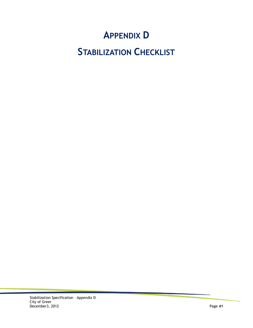# **APPENDIX D**

# **STABILIZATION CHECKLIST**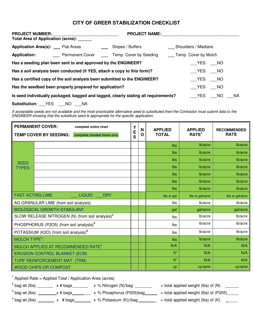### **CITY OF GREER STABILIZATION CHECKLIST**

| <b>PROJECT NUMBER:</b><br>Total Area of Application (acres): ____         |  | <b>PROJECT NAME:</b>                                                                |                      |                     |    |       |
|---------------------------------------------------------------------------|--|-------------------------------------------------------------------------------------|----------------------|---------------------|----|-------|
| <b>Application Area(s): Flat Areas</b>                                    |  | Slopes / Buffers                                                                    |                      | Shoulders / Medians |    |       |
| <b>Application:</b>                                                       |  | Permanent Cover Temp. Cover by Seeding                                              | Temp. Cover by Mulch |                     |    |       |
| Has a seeding plan been sent to and approved by the ENGINEER?             |  |                                                                                     |                      | YES                 | NO |       |
| Has a soil analysis been conducted (if YES, attach a copy to this form)?  |  |                                                                                     |                      | <b>YES</b>          | NO |       |
| Has a certified copy of the soil analysis been submitted to the ENGINEER? |  |                                                                                     |                      | YES                 | NO |       |
| Has the seedbed been properly prepared for application?                   |  |                                                                                     |                      | <b>YES</b>          | NO |       |
|                                                                           |  | Is seed individually packaged, bagged and tagged, clearly stating all requirements? |                      | YES                 | NO | NA NA |

**Substitution:** \_\_\_YES \_\_\_NO \_\_\_NA

If acceptable seeds are not available and the most practicable alternative seed is substituted then the Contractor must submit data to the ENGINEER showing that the substitute seed is appropriate for the specific application.

|                                | <b>PERMANENT COVER:</b><br>complete entire chart<br><b>TEMP COVER BY SEEDING:</b><br>complete shaded items only | Y<br>E<br>S | N<br>Ο | <b>APPLIED</b><br><b>TOTAL</b> | <b>APPLIED</b><br>RATE <sup>1</sup> | <b>RECOMMENDED</b><br><b>RATE</b> |
|--------------------------------|-----------------------------------------------------------------------------------------------------------------|-------------|--------|--------------------------------|-------------------------------------|-----------------------------------|
|                                |                                                                                                                 |             |        | Ibs                            | lb/acre                             | lb/acre                           |
|                                |                                                                                                                 |             |        | Ibs                            | lb/acre                             | lb/acre                           |
| <b>SEED</b>                    |                                                                                                                 |             |        | Ibs                            | lb/acre                             | lb/acre                           |
| <b>TYPES:</b>                  |                                                                                                                 |             |        | Ibs                            | lb/acre                             | lb/acre                           |
|                                |                                                                                                                 |             |        | Ibs                            | lb/acre                             | lb/acre                           |
|                                |                                                                                                                 |             |        | <b>lbs</b>                     | lb/acre                             | lb/acre                           |
|                                |                                                                                                                 |             |        | Ibs                            | lb/acre                             | lb/acre                           |
| <b>FAST ACTING LIME</b>        | <b>LIQUID</b><br><b>DRY</b>                                                                                     |             |        | lbs or gal                     | lbs or gal/acre                     | lbs or gal/acre                   |
|                                | AG GRANULAR LIME (from soil analysis)                                                                           |             |        | Ibs                            | lb/acre                             | lb/acre                           |
|                                | <b>BIOLOGICAL GROWTH STIMULANT</b>                                                                              |             |        | gal                            | gal/acre                            | gal/acre                          |
|                                | SLOW RELEASE NITROGEN (N) (from soil analysis) <sup>2</sup>                                                     |             |        | Ibs                            | lb/acre                             | lb/acre                           |
|                                | PHOSPHORUS (P2O5) (from soil analysis) <sup>3</sup>                                                             |             |        | Ibs                            | lb/acre                             | lb/acre                           |
|                                | POTASSIUM (K2O) (from soil analysis) <sup>4</sup>                                                               |             |        | Ibs                            | lb/acre                             | lb/acre                           |
| <b>MULCH TYPE<sup>1</sup>:</b> |                                                                                                                 |             |        | Ibs                            | lb/acre                             | lb/acre                           |
|                                | MULCH APPLIED AT RECOMMENDED RATE <sup>1</sup>                                                                  |             |        | N/A                            | N/A                                 | N/A                               |
|                                | <b>EROSION CONTROL BLANKET (ECB)</b>                                                                            |             |        | $ft^2$                         | N/A                                 | N/A                               |
|                                | TURF REINFORCEMENT MAT (TRM)                                                                                    |             |        | $ft^2$                         | N/A                                 | N/A                               |
|                                | <b>WOOD CHIPS OR COMPOST</b>                                                                                    |             |        | <b>CV</b>                      | cy/acre                             | cy/acre                           |

<sup>1</sup> Applied Rate = Applied Total / Application Area (acres)

 $2^{2}$  bag wt.(lbs) \_\_\_\_\_\_\_ x # bags\_\_\_\_\_\_ x % Nitrogen (N)/bag \_\_\_\_\_\_\_ = total applied weight (lbs) of (N) \_\_\_\_\_\_  $^3$  bag wt.(lbs) \_\_\_\_\_\_\_\_x # bags\_\_\_\_\_\_\_\_ x % Phosphorus (P205)bag\_\_\_\_\_\_ = total applied weight (lbs) of (P205)\_\_\_\_\_

 $4 \text{ bag wt.}$ (lbs) \_\_\_\_\_\_ x # bags\_\_\_\_\_\_ x % Potassium (K))/bag \_\_\_\_\_\_ = total applied weight (lbs) of (K) \_\_\_\_\_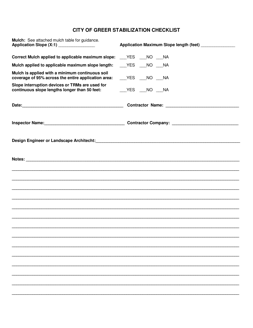### **CITY OF GREER STABILIZATION CHECKLIST**

| Mulch: See attached mulch table for guidance.<br>Application Slope (X:1) _______________                       | Application Maximum Slope length (feet) _______________                         |  |  |
|----------------------------------------------------------------------------------------------------------------|---------------------------------------------------------------------------------|--|--|
| Correct Mulch applied to applicable maximum slope: ___YES ___NO ___NA                                          |                                                                                 |  |  |
| Mulch applied to applicable maximum slope length:                                                              | ____YES ____NO ____NA                                                           |  |  |
| Mulch is applied with a minimum continuous soil<br>coverage of 95% across the entire application area:         | ____YES ____NO ____NA                                                           |  |  |
| Slope interruption devices or TRMs are used for<br>continuous slope lengths longer than 50 feet:               | ____YES ____NO ____NA                                                           |  |  |
|                                                                                                                |                                                                                 |  |  |
|                                                                                                                | Inspector Name: 1990 Manual Contractor Company: 2008 Manual Contractor Company: |  |  |
| Design Engineer or Landscape Architecht: New York 1988 and Separate Separate Separate Separate Separate Separa |                                                                                 |  |  |
|                                                                                                                |                                                                                 |  |  |
|                                                                                                                |                                                                                 |  |  |
|                                                                                                                |                                                                                 |  |  |
|                                                                                                                |                                                                                 |  |  |
|                                                                                                                |                                                                                 |  |  |
|                                                                                                                |                                                                                 |  |  |
|                                                                                                                |                                                                                 |  |  |
|                                                                                                                |                                                                                 |  |  |
|                                                                                                                |                                                                                 |  |  |
|                                                                                                                |                                                                                 |  |  |
|                                                                                                                |                                                                                 |  |  |
|                                                                                                                |                                                                                 |  |  |
|                                                                                                                |                                                                                 |  |  |
|                                                                                                                |                                                                                 |  |  |
|                                                                                                                |                                                                                 |  |  |